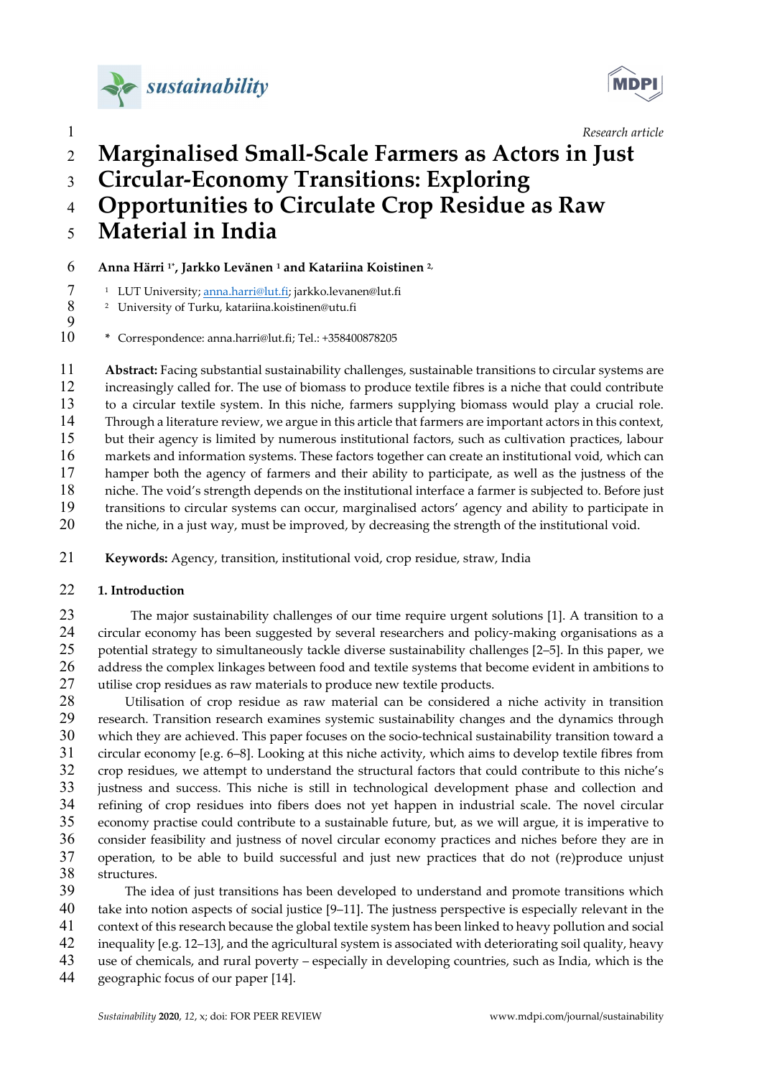



# 1 Research article **Research** article Marginalised Small-Scale Farmers as Actors in Just Circular-Economy Transitions: Exploring

# Opportunities to Circulate Crop Residue as Raw Material in India

Anna Härri 1\*, Jarkko Levänen 1 and Katariina Koistinen 2,

<sup>1</sup> LUT University; anna.harri@lut.fi; jarkko.levanen@lut.fi

- 8 <sup>2</sup> University of Turku, katariina.koistinen@utu.fi
- 

\* Correspondence: anna.harri@lut.fi; Tel.: +358400878205

11 Abstract: Facing substantial sustainability challenges, sustainable transitions to circular systems are increasingly called for. The use of biomass to produce textile fibres is a niche that could contribute to a circular textile system. In this niche, farmers supplying biomass would play a crucial role. Through a literature review, we argue in this article that farmers are important actors in this context, but their agency is limited by numerous institutional factors, such as cultivation practices, labour markets and information systems. These factors together can create an institutional void, which can hamper both the agency of farmers and their ability to participate, as well as the justness of the niche. The void's strength depends on the institutional interface a farmer is subjected to. Before just transitions to circular systems can occur, marginalised actors' agency and ability to participate in the niche, in a just way, must be improved, by decreasing the strength of the institutional void.

Keywords: Agency, transition, institutional void, crop residue, straw, India

## 22 1. Introduction

The major sustainability challenges of our time require urgent solutions [1]. A transition to a circular economy has been suggested by several researchers and policy-making organisations as a potential strategy to simultaneously tackle diverse sustainability challenges [2–5]. In this paper, we 26 address the complex linkages between food and textile systems that become evident in ambitions to utilise crop residues as raw materials to produce new textile products.

Utilisation of crop residue as raw material can be considered a niche activity in transition research. Transition research examines systemic sustainability changes and the dynamics through which they are achieved. This paper focuses on the socio-technical sustainability transition toward a circular economy [e.g. 6–8]. Looking at this niche activity, which aims to develop textile fibres from crop residues, we attempt to understand the structural factors that could contribute to this niche's justness and success. This niche is still in technological development phase and collection and refining of crop residues into fibers does not yet happen in industrial scale. The novel circular economy practise could contribute to a sustainable future, but, as we will argue, it is imperative to consider feasibility and justness of novel circular economy practices and niches before they are in operation, to be able to build successful and just new practices that do not (re)produce unjust structures.

The idea of just transitions has been developed to understand and promote transitions which take into notion aspects of social justice [9–11]. The justness perspective is especially relevant in the context of this research because the global textile system has been linked to heavy pollution and social inequality [e.g. 12–13], and the agricultural system is associated with deteriorating soil quality, heavy use of chemicals, and rural poverty – especially in developing countries, such as India, which is the geographic focus of our paper [14].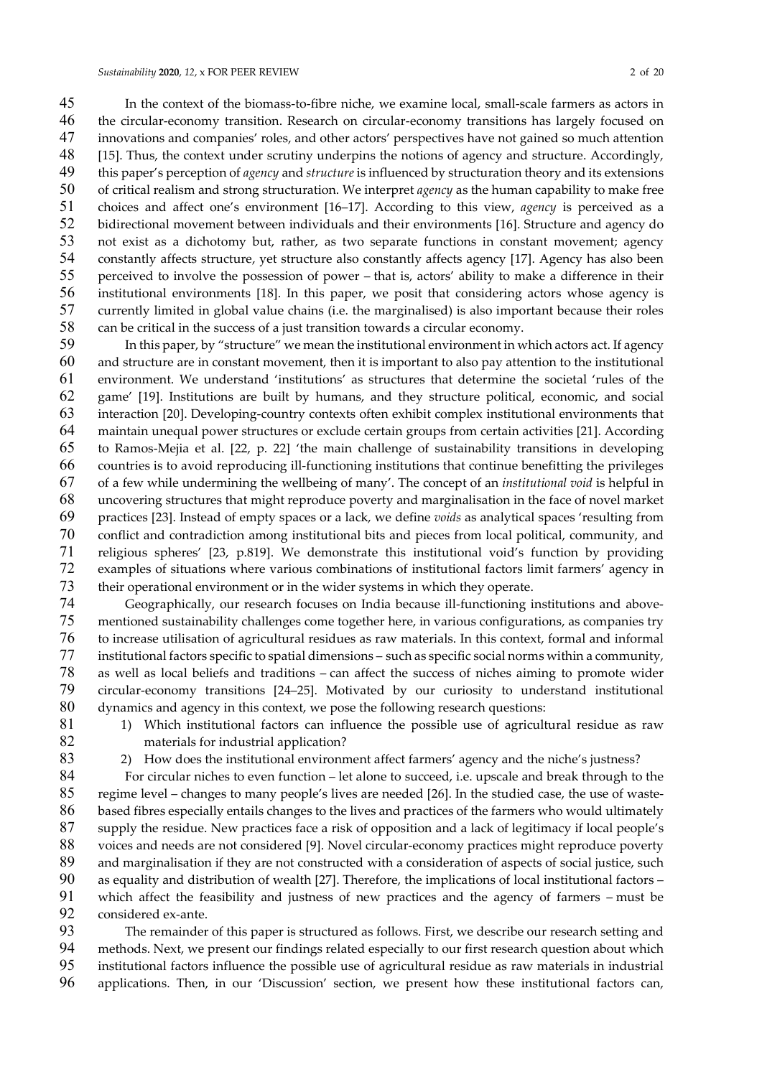In the context of the biomass-to-fibre niche, we examine local, small-scale farmers as actors in the circular-economy transition. Research on circular-economy transitions has largely focused on innovations and companies' roles, and other actors' perspectives have not gained so much attention 48 [15]. Thus, the context under scrutiny underpins the notions of agency and structure. Accordingly, 49 this paper's perception of agency and structure is influenced by structuration theory and its extensions of critical realism and strong structuration. We interpret agency as the human capability to make free choices and affect one's environment [16–17]. According to this view, agency is perceived as a bidirectional movement between individuals and their environments [16]. Structure and agency do not exist as a dichotomy but, rather, as two separate functions in constant movement; agency constantly affects structure, yet structure also constantly affects agency [17]. Agency has also been perceived to involve the possession of power – that is, actors' ability to make a difference in their institutional environments [18]. In this paper, we posit that considering actors whose agency is currently limited in global value chains (i.e. the marginalised) is also important because their roles can be critical in the success of a just transition towards a circular economy.

In this paper, by "structure" we mean the institutional environment in which actors act. If agency and structure are in constant movement, then it is important to also pay attention to the institutional environment. We understand 'institutions' as structures that determine the societal 'rules of the game' [19]. Institutions are built by humans, and they structure political, economic, and social interaction [20]. Developing-country contexts often exhibit complex institutional environments that maintain unequal power structures or exclude certain groups from certain activities [21]. According to Ramos-Mejia et al. [22, p. 22] 'the main challenge of sustainability transitions in developing countries is to avoid reproducing ill-functioning institutions that continue benefitting the privileges of a few while undermining the wellbeing of many'. The concept of an institutional void is helpful in uncovering structures that might reproduce poverty and marginalisation in the face of novel market practices [23]. Instead of empty spaces or a lack, we define voids as analytical spaces 'resulting from conflict and contradiction among institutional bits and pieces from local political, community, and religious spheres' [23, p.819]. We demonstrate this institutional void's function by providing examples of situations where various combinations of institutional factors limit farmers' agency in their operational environment or in the wider systems in which they operate.

Geographically, our research focuses on India because ill-functioning institutions and above-mentioned sustainability challenges come together here, in various configurations, as companies try to increase utilisation of agricultural residues as raw materials. In this context, formal and informal institutional factors specific to spatial dimensions – such as specific social norms within a community, as well as local beliefs and traditions – can affect the success of niches aiming to promote wider circular-economy transitions [24–25]. Motivated by our curiosity to understand institutional dynamics and agency in this context, we pose the following research questions:

- 81 1) Which institutional factors can influence the possible use of agricultural residue as raw materials for industrial application?
- 
- 2) How does the institutional environment affect farmers' agency and the niche's justness?

For circular niches to even function – let alone to succeed, i.e. upscale and break through to the regime level – changes to many people's lives are needed [26]. In the studied case, the use of waste-based fibres especially entails changes to the lives and practices of the farmers who would ultimately supply the residue. New practices face a risk of opposition and a lack of legitimacy if local people's voices and needs are not considered [9]. Novel circular-economy practices might reproduce poverty 89 and marginalisation if they are not constructed with a consideration of aspects of social justice, such as equality and distribution of wealth [27]. Therefore, the implications of local institutional factors – which affect the feasibility and justness of new practices and the agency of farmers – must be considered ex-ante.

The remainder of this paper is structured as follows. First, we describe our research setting and methods. Next, we present our findings related especially to our first research question about which institutional factors influence the possible use of agricultural residue as raw materials in industrial applications. Then, in our 'Discussion' section, we present how these institutional factors can,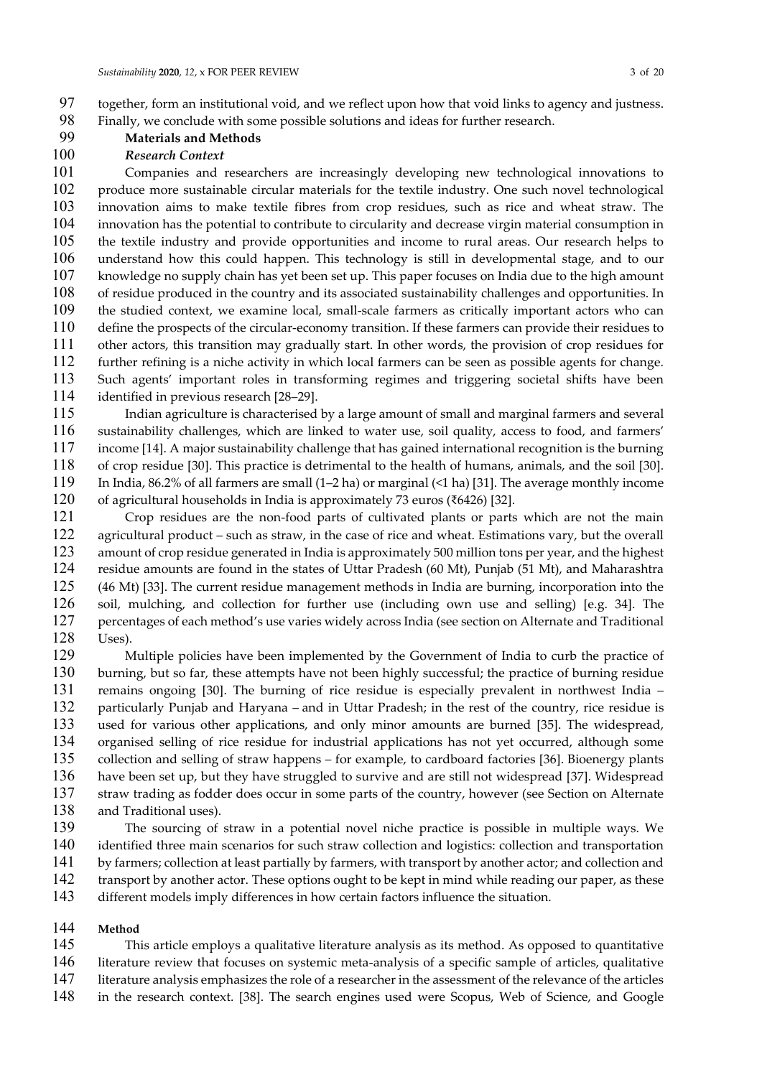together, form an institutional void, and we reflect upon how that void links to agency and justness. Finally, we conclude with some possible solutions and ideas for further research.

#### Materials and Methods

#### Research Context

Companies and researchers are increasingly developing new technological innovations to produce more sustainable circular materials for the textile industry. One such novel technological innovation aims to make textile fibres from crop residues, such as rice and wheat straw. The innovation has the potential to contribute to circularity and decrease virgin material consumption in the textile industry and provide opportunities and income to rural areas. Our research helps to understand how this could happen. This technology is still in developmental stage, and to our knowledge no supply chain has yet been set up. This paper focuses on India due to the high amount of residue produced in the country and its associated sustainability challenges and opportunities. In the studied context, we examine local, small-scale farmers as critically important actors who can define the prospects of the circular-economy transition. If these farmers can provide their residues to other actors, this transition may gradually start. In other words, the provision of crop residues for further refining is a niche activity in which local farmers can be seen as possible agents for change. Such agents' important roles in transforming regimes and triggering societal shifts have been identified in previous research [28–29].

Indian agriculture is characterised by a large amount of small and marginal farmers and several sustainability challenges, which are linked to water use, soil quality, access to food, and farmers' income [14]. A major sustainability challenge that has gained international recognition is the burning of crop residue [30]. This practice is detrimental to the health of humans, animals, and the soil [30]. In India, 86.2% of all farmers are small (1–2 ha) or marginal (<1 ha) [31]. The average monthly income of agricultural households in India is approximately 73 euros (₹6426) [32].

Crop residues are the non-food parts of cultivated plants or parts which are not the main agricultural product – such as straw, in the case of rice and wheat. Estimations vary, but the overall amount of crop residue generated in India is approximately 500 million tons per year, and the highest residue amounts are found in the states of Uttar Pradesh (60 Mt), Punjab (51 Mt), and Maharashtra (46 Mt) [33]. The current residue management methods in India are burning, incorporation into the soil, mulching, and collection for further use (including own use and selling) [e.g. 34]. The percentages of each method's use varies widely across India (see section on Alternate and Traditional Uses).

Multiple policies have been implemented by the Government of India to curb the practice of burning, but so far, these attempts have not been highly successful; the practice of burning residue remains ongoing [30]. The burning of rice residue is especially prevalent in northwest India – particularly Punjab and Haryana – and in Uttar Pradesh; in the rest of the country, rice residue is used for various other applications, and only minor amounts are burned [35]. The widespread, organised selling of rice residue for industrial applications has not yet occurred, although some collection and selling of straw happens – for example, to cardboard factories [36]. Bioenergy plants have been set up, but they have struggled to survive and are still not widespread [37]. Widespread straw trading as fodder does occur in some parts of the country, however (see Section on Alternate and Traditional uses).

The sourcing of straw in a potential novel niche practice is possible in multiple ways. We identified three main scenarios for such straw collection and logistics: collection and transportation by farmers; collection at least partially by farmers, with transport by another actor; and collection and 142 transport by another actor. These options ought to be kept in mind while reading our paper, as these different models imply differences in how certain factors influence the situation.

#### Method

This article employs a qualitative literature analysis as its method. As opposed to quantitative literature review that focuses on systemic meta-analysis of a specific sample of articles, qualitative literature analysis emphasizes the role of a researcher in the assessment of the relevance of the articles

in the research context. [38]. The search engines used were Scopus, Web of Science, and Google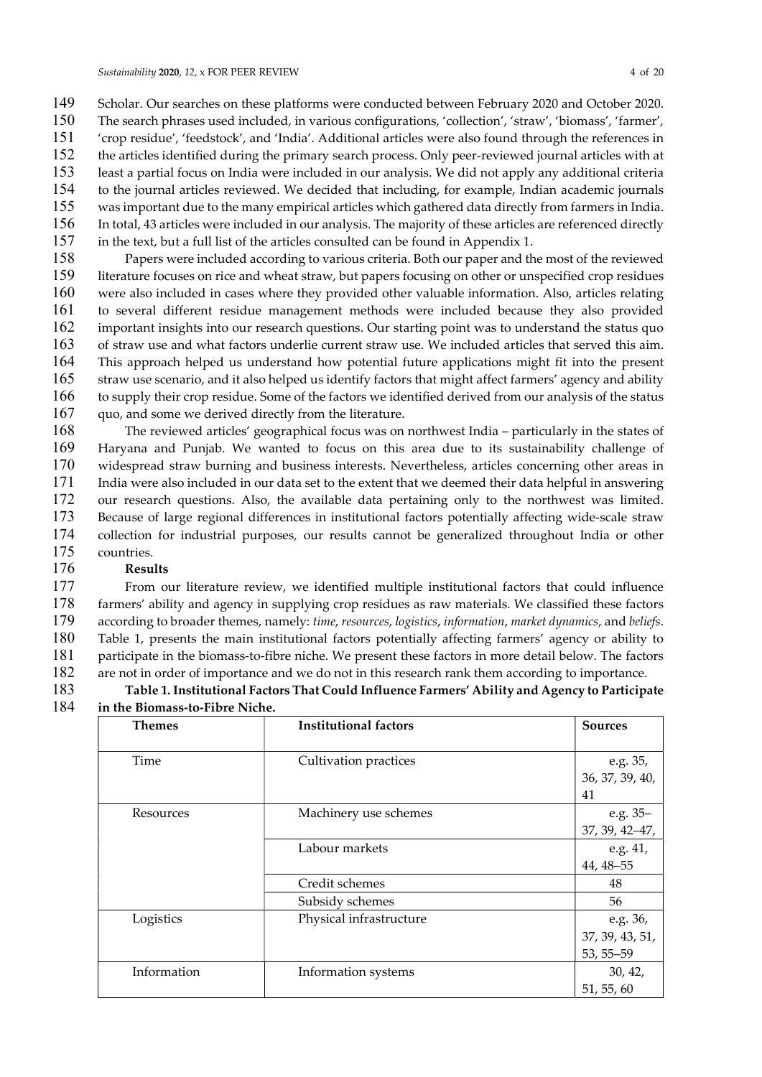- Scholar. Our searches on these platforms were conducted between February 2020 and October 2020.
- The search phrases used included, in various configurations, 'collection', 'straw', 'biomass', 'farmer', 'crop residue', 'feedstock', and 'India'. Additional articles were also found through the references in the articles identified during the primary search process. Only peer-reviewed journal articles with at least a partial focus on India were included in our analysis. We did not apply any additional criteria to the journal articles reviewed. We decided that including, for example, Indian academic journals was important due to the many empirical articles which gathered data directly from farmers in India. In total, 43 articles were included in our analysis. The majority of these articles are referenced directly
- in the text, but a full list of the articles consulted can be found in Appendix 1.
- Papers were included according to various criteria. Both our paper and the most of the reviewed literature focuses on rice and wheat straw, but papers focusing on other or unspecified crop residues were also included in cases where they provided other valuable information. Also, articles relating to several different residue management methods were included because they also provided important insights into our research questions. Our starting point was to understand the status quo of straw use and what factors underlie current straw use. We included articles that served this aim. This approach helped us understand how potential future applications might fit into the present straw use scenario, and it also helped us identify factors that might affect farmers' agency and ability to supply their crop residue. Some of the factors we identified derived from our analysis of the status 167 quo, and some we derived directly from the literature.
- The reviewed articles' geographical focus was on northwest India particularly in the states of Haryana and Punjab. We wanted to focus on this area due to its sustainability challenge of widespread straw burning and business interests. Nevertheless, articles concerning other areas in India were also included in our data set to the extent that we deemed their data helpful in answering our research questions. Also, the available data pertaining only to the northwest was limited. Because of large regional differences in institutional factors potentially affecting wide-scale straw collection for industrial purposes, our results cannot be generalized throughout India or other countries.

## Results

From our literature review, we identified multiple institutional factors that could influence farmers' ability and agency in supplying crop residues as raw materials. We classified these factors according to broader themes, namely: time, resources, logistics, information, market dynamics, and beliefs. Table 1, presents the main institutional factors potentially affecting farmers' agency or ability to participate in the biomass-to-fibre niche. We present these factors in more detail below. The factors are not in order of importance and we do not in this research rank them according to importance.

#### Table 1. Institutional Factors That Could Influence Farmers' Ability and Agency to Participate in the Biomass-to-Fibre Niche.

| <b>Themes</b> | <b>Institutional factors</b> | <b>Sources</b>             |
|---------------|------------------------------|----------------------------|
|               |                              |                            |
| Time          | Cultivation practices        | e.g. 35,                   |
|               |                              | 36, 37, 39, 40,            |
|               |                              | 41                         |
| Resources     | Machinery use schemes        |                            |
|               |                              | e.g. 35–<br>37, 39, 42–47, |
|               | Labour markets               | e.g. 41,                   |
|               |                              | 44, 48-55                  |
|               | Credit schemes               | 48                         |
|               | Subsidy schemes              | 56                         |
| Logistics     | Physical infrastructure      | e.g. 36,                   |
|               |                              | 37, 39, 43, 51,            |
|               |                              | $53, 55 - 59$              |
| Information   | Information systems          | 30, 42,                    |
|               |                              | 51, 55, 60                 |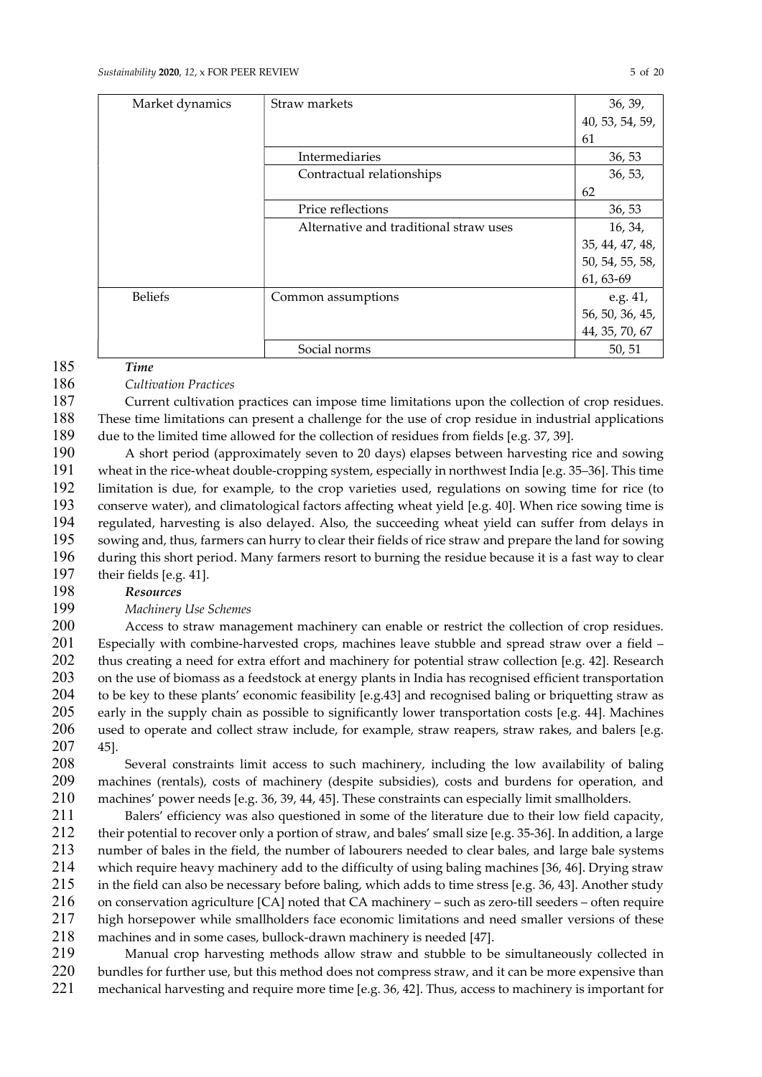| Market dynamics | Straw markets                          | 36, 39,         |
|-----------------|----------------------------------------|-----------------|
|                 |                                        | 40, 53, 54, 59, |
|                 |                                        | 61              |
|                 | Intermediaries                         | 36, 53          |
|                 | Contractual relationships              | 36, 53,         |
|                 |                                        | 62              |
|                 | Price reflections                      | 36, 53          |
|                 | Alternative and traditional straw uses | 16, 34,         |
|                 |                                        | 35, 44, 47, 48, |
|                 |                                        | 50, 54, 55, 58, |
|                 |                                        | 61, 63-69       |
| <b>Beliefs</b>  | Common assumptions                     | e.g. 41,        |
|                 |                                        | 56, 50, 36, 45, |
|                 |                                        | 44, 35, 70, 67  |
|                 | Social norms                           | 50, 51          |

# Time

#### 186 Cultivation Practices

Current cultivation practices can impose time limitations upon the collection of crop residues. These time limitations can present a challenge for the use of crop residue in industrial applications due to the limited time allowed for the collection of residues from fields [e.g. 37, 39].

A short period (approximately seven to 20 days) elapses between harvesting rice and sowing wheat in the rice-wheat double-cropping system, especially in northwest India [e.g. 35–36]. This time limitation is due, for example, to the crop varieties used, regulations on sowing time for rice (to conserve water), and climatological factors affecting wheat yield [e.g. 40]. When rice sowing time is regulated, harvesting is also delayed. Also, the succeeding wheat yield can suffer from delays in sowing and, thus, farmers can hurry to clear their fields of rice straw and prepare the land for sowing during this short period. Many farmers resort to burning the residue because it is a fast way to clear their fields [e.g. 41].

#### Resources

#### Machinery Use Schemes

Access to straw management machinery can enable or restrict the collection of crop residues. Especially with combine-harvested crops, machines leave stubble and spread straw over a field – 202 thus creating a need for extra effort and machinery for potential straw collection [e.g. 42]. Research 203 on the use of biomass as a feedstock at energy plants in India has recognised efficient transportation to be key to these plants' economic feasibility [e.g.43] and recognised baling or briquetting straw as early in the supply chain as possible to significantly lower transportation costs [e.g. 44]. Machines used to operate and collect straw include, for example, straw reapers, straw rakes, and balers [e.g. 45].

Several constraints limit access to such machinery, including the low availability of baling machines (rentals), costs of machinery (despite subsidies), costs and burdens for operation, and machines' power needs [e.g. 36, 39, 44, 45]. These constraints can especially limit smallholders.

Balers' efficiency was also questioned in some of the literature due to their low field capacity, their potential to recover only a portion of straw, and bales' small size [e.g. 35-36]. In addition, a large number of bales in the field, the number of labourers needed to clear bales, and large bale systems which require heavy machinery add to the difficulty of using baling machines [36, 46]. Drying straw in the field can also be necessary before baling, which adds to time stress [e.g. 36, 43]. Another study on conservation agriculture [CA] noted that CA machinery – such as zero-till seeders – often require high horsepower while smallholders face economic limitations and need smaller versions of these machines and in some cases, bullock-drawn machinery is needed [47].

Manual crop harvesting methods allow straw and stubble to be simultaneously collected in bundles for further use, but this method does not compress straw, and it can be more expensive than mechanical harvesting and require more time [e.g. 36, 42]. Thus, access to machinery is important for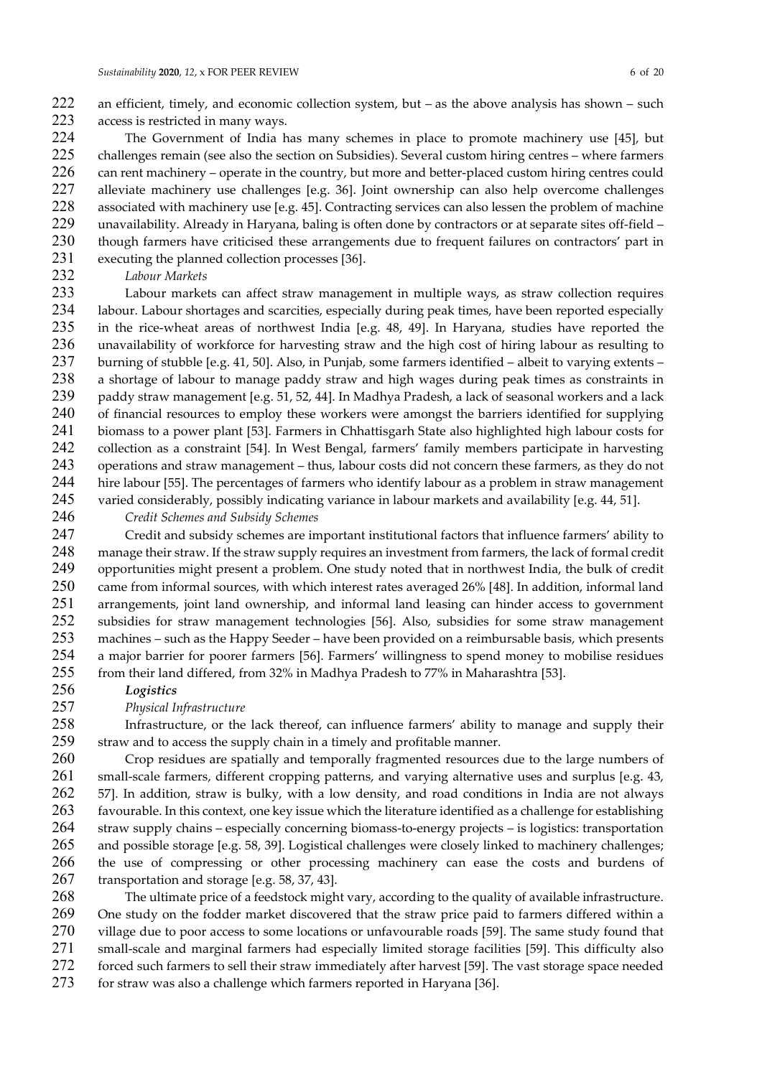an efficient, timely, and economic collection system, but – as the above analysis has shown – such access is restricted in many ways.

The Government of India has many schemes in place to promote machinery use [45], but challenges remain (see also the section on Subsidies). Several custom hiring centres – where farmers can rent machinery – operate in the country, but more and better-placed custom hiring centres could alleviate machinery use challenges [e.g. 36]. Joint ownership can also help overcome challenges associated with machinery use [e.g. 45]. Contracting services can also lessen the problem of machine unavailability. Already in Haryana, baling is often done by contractors or at separate sites off-field – though farmers have criticised these arrangements due to frequent failures on contractors' part in

executing the planned collection processes [36].

232 Labour Markets

Labour markets can affect straw management in multiple ways, as straw collection requires labour. Labour shortages and scarcities, especially during peak times, have been reported especially in the rice-wheat areas of northwest India [e.g. 48, 49]. In Haryana, studies have reported the unavailability of workforce for harvesting straw and the high cost of hiring labour as resulting to burning of stubble [e.g. 41, 50]. Also, in Punjab, some farmers identified – albeit to varying extents – a shortage of labour to manage paddy straw and high wages during peak times as constraints in paddy straw management [e.g. 51, 52, 44]. In Madhya Pradesh, a lack of seasonal workers and a lack of financial resources to employ these workers were amongst the barriers identified for supplying biomass to a power plant [53]. Farmers in Chhattisgarh State also highlighted high labour costs for collection as a constraint [54]. In West Bengal, farmers' family members participate in harvesting operations and straw management – thus, labour costs did not concern these farmers, as they do not hire labour [55]. The percentages of farmers who identify labour as a problem in straw management varied considerably, possibly indicating variance in labour markets and availability [e.g. 44, 51].

#### Credit Schemes and Subsidy Schemes

Credit and subsidy schemes are important institutional factors that influence farmers' ability to manage their straw. If the straw supply requires an investment from farmers, the lack of formal credit opportunities might present a problem. One study noted that in northwest India, the bulk of credit came from informal sources, with which interest rates averaged 26% [48]. In addition, informal land arrangements, joint land ownership, and informal land leasing can hinder access to government subsidies for straw management technologies [56]. Also, subsidies for some straw management machines – such as the Happy Seeder – have been provided on a reimbursable basis, which presents a major barrier for poorer farmers [56]. Farmers' willingness to spend money to mobilise residues from their land differed, from 32% in Madhya Pradesh to 77% in Maharashtra [53].

Logistics

#### Physical Infrastructure

Infrastructure, or the lack thereof, can influence farmers' ability to manage and supply their straw and to access the supply chain in a timely and profitable manner.

Crop residues are spatially and temporally fragmented resources due to the large numbers of small-scale farmers, different cropping patterns, and varying alternative uses and surplus [e.g. 43, 57]. In addition, straw is bulky, with a low density, and road conditions in India are not always favourable. In this context, one key issue which the literature identified as a challenge for establishing straw supply chains – especially concerning biomass-to-energy projects – is logistics: transportation and possible storage [e.g. 58, 39]. Logistical challenges were closely linked to machinery challenges; the use of compressing or other processing machinery can ease the costs and burdens of transportation and storage [e.g. 58, 37, 43].

The ultimate price of a feedstock might vary, according to the quality of available infrastructure. One study on the fodder market discovered that the straw price paid to farmers differed within a village due to poor access to some locations or unfavourable roads [59]. The same study found that small-scale and marginal farmers had especially limited storage facilities [59]. This difficulty also forced such farmers to sell their straw immediately after harvest [59]. The vast storage space needed

for straw was also a challenge which farmers reported in Haryana [36].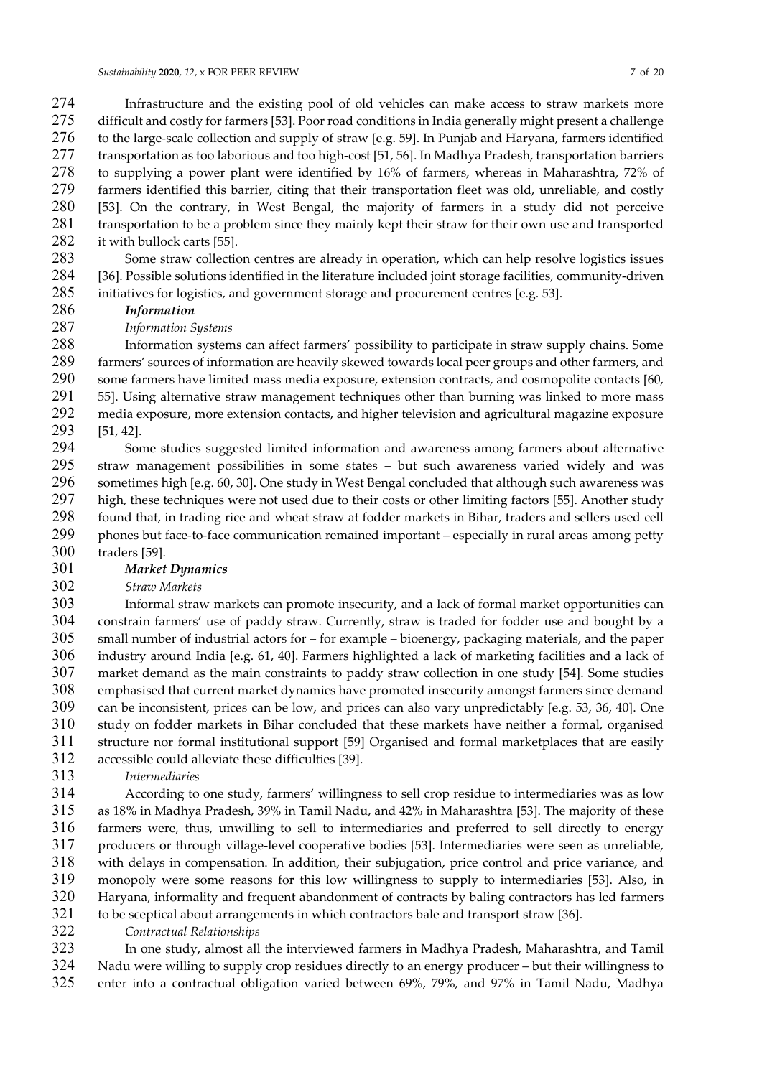Infrastructure and the existing pool of old vehicles can make access to straw markets more difficult and costly for farmers [53]. Poor road conditions in India generally might present a challenge to the large-scale collection and supply of straw [e.g. 59]. In Punjab and Haryana, farmers identified 277 transportation as too laborious and too high-cost [51, 56]. In Madhya Pradesh, transportation barriers to supplying a power plant were identified by 16% of farmers, whereas in Maharashtra, 72% of farmers identified this barrier, citing that their transportation fleet was old, unreliable, and costly [53]. On the contrary, in West Bengal, the majority of farmers in a study did not perceive transportation to be a problem since they mainly kept their straw for their own use and transported 282 it with bullock carts [55].

- Some straw collection centres are already in operation, which can help resolve logistics issues [36]. Possible solutions identified in the literature included joint storage facilities, community-driven initiatives for logistics, and government storage and procurement centres [e.g. 53].
- Information
- Information Systems

Information systems can affect farmers' possibility to participate in straw supply chains. Some farmers' sources of information are heavily skewed towards local peer groups and other farmers, and some farmers have limited mass media exposure, extension contracts, and cosmopolite contacts [60, 55]. Using alternative straw management techniques other than burning was linked to more mass media exposure, more extension contacts, and higher television and agricultural magazine exposure [51, 42].

Some studies suggested limited information and awareness among farmers about alternative straw management possibilities in some states – but such awareness varied widely and was sometimes high [e.g. 60, 30]. One study in West Bengal concluded that although such awareness was high, these techniques were not used due to their costs or other limiting factors [55]. Another study found that, in trading rice and wheat straw at fodder markets in Bihar, traders and sellers used cell phones but face-to-face communication remained important – especially in rural areas among petty traders [59].

#### Market Dynamics

Straw Markets

Informal straw markets can promote insecurity, and a lack of formal market opportunities can constrain farmers' use of paddy straw. Currently, straw is traded for fodder use and bought by a small number of industrial actors for – for example – bioenergy, packaging materials, and the paper industry around India [e.g. 61, 40]. Farmers highlighted a lack of marketing facilities and a lack of market demand as the main constraints to paddy straw collection in one study [54]. Some studies emphasised that current market dynamics have promoted insecurity amongst farmers since demand can be inconsistent, prices can be low, and prices can also vary unpredictably [e.g. 53, 36, 40]. One study on fodder markets in Bihar concluded that these markets have neither a formal, organised structure nor formal institutional support [59] Organised and formal marketplaces that are easily accessible could alleviate these difficulties [39].

Intermediaries

According to one study, farmers' willingness to sell crop residue to intermediaries was as low as 18% in Madhya Pradesh, 39% in Tamil Nadu, and 42% in Maharashtra [53]. The majority of these farmers were, thus, unwilling to sell to intermediaries and preferred to sell directly to energy producers or through village-level cooperative bodies [53]. Intermediaries were seen as unreliable, with delays in compensation. In addition, their subjugation, price control and price variance, and monopoly were some reasons for this low willingness to supply to intermediaries [53]. Also, in Haryana, informality and frequent abandonment of contracts by baling contractors has led farmers to be sceptical about arrangements in which contractors bale and transport straw [36].

Contractual Relationships

In one study, almost all the interviewed farmers in Madhya Pradesh, Maharashtra, and Tamil Nadu were willing to supply crop residues directly to an energy producer – but their willingness to enter into a contractual obligation varied between 69%, 79%, and 97% in Tamil Nadu, Madhya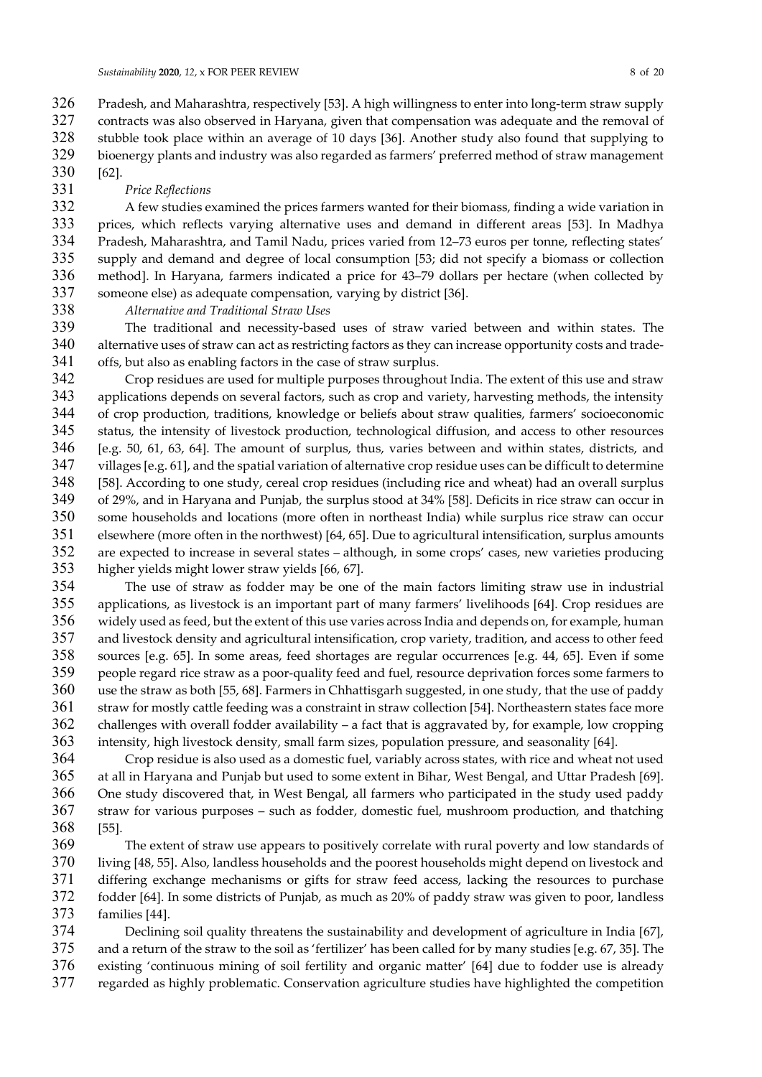Pradesh, and Maharashtra, respectively [53]. A high willingness to enter into long-term straw supply 327 contracts was also observed in Haryana, given that compensation was adequate and the removal of stubble took place within an average of 10 days [36]. Another study also found that supplying to bioenergy plants and industry was also regarded as farmers' preferred method of straw management [62].

#### Price Reflections

A few studies examined the prices farmers wanted for their biomass, finding a wide variation in prices, which reflects varying alternative uses and demand in different areas [53]. In Madhya Pradesh, Maharashtra, and Tamil Nadu, prices varied from 12–73 euros per tonne, reflecting states' supply and demand and degree of local consumption [53; did not specify a biomass or collection method]. In Haryana, farmers indicated a price for 43–79 dollars per hectare (when collected by someone else) as adequate compensation, varying by district [36].

Alternative and Traditional Straw Uses

The traditional and necessity-based uses of straw varied between and within states. The alternative uses of straw can act as restricting factors as they can increase opportunity costs and trade-offs, but also as enabling factors in the case of straw surplus.

Crop residues are used for multiple purposes throughout India. The extent of this use and straw applications depends on several factors, such as crop and variety, harvesting methods, the intensity of crop production, traditions, knowledge or beliefs about straw qualities, farmers' socioeconomic status, the intensity of livestock production, technological diffusion, and access to other resources [e.g. 50, 61, 63, 64]. The amount of surplus, thus, varies between and within states, districts, and villages [e.g. 61], and the spatial variation of alternative crop residue uses can be difficult to determine [58]. According to one study, cereal crop residues (including rice and wheat) had an overall surplus of 29%, and in Haryana and Punjab, the surplus stood at 34% [58]. Deficits in rice straw can occur in some households and locations (more often in northeast India) while surplus rice straw can occur elsewhere (more often in the northwest) [64, 65]. Due to agricultural intensification, surplus amounts are expected to increase in several states – although, in some crops' cases, new varieties producing higher yields might lower straw yields [66, 67].

The use of straw as fodder may be one of the main factors limiting straw use in industrial applications, as livestock is an important part of many farmers' livelihoods [64]. Crop residues are widely used as feed, but the extent of this use varies across India and depends on, for example, human and livestock density and agricultural intensification, crop variety, tradition, and access to other feed sources [e.g. 65]. In some areas, feed shortages are regular occurrences [e.g. 44, 65]. Even if some people regard rice straw as a poor-quality feed and fuel, resource deprivation forces some farmers to use the straw as both [55, 68]. Farmers in Chhattisgarh suggested, in one study, that the use of paddy straw for mostly cattle feeding was a constraint in straw collection [54]. Northeastern states face more challenges with overall fodder availability – a fact that is aggravated by, for example, low cropping intensity, high livestock density, small farm sizes, population pressure, and seasonality [64].

Crop residue is also used as a domestic fuel, variably across states, with rice and wheat not used at all in Haryana and Punjab but used to some extent in Bihar, West Bengal, and Uttar Pradesh [69]. One study discovered that, in West Bengal, all farmers who participated in the study used paddy straw for various purposes – such as fodder, domestic fuel, mushroom production, and thatching [55].

The extent of straw use appears to positively correlate with rural poverty and low standards of living [48, 55]. Also, landless households and the poorest households might depend on livestock and differing exchange mechanisms or gifts for straw feed access, lacking the resources to purchase fodder [64]. In some districts of Punjab, as much as 20% of paddy straw was given to poor, landless families [44].

Declining soil quality threatens the sustainability and development of agriculture in India [67], and a return of the straw to the soil as 'fertilizer' has been called for by many studies [e.g. 67, 35]. The existing 'continuous mining of soil fertility and organic matter' [64] due to fodder use is already regarded as highly problematic. Conservation agriculture studies have highlighted the competition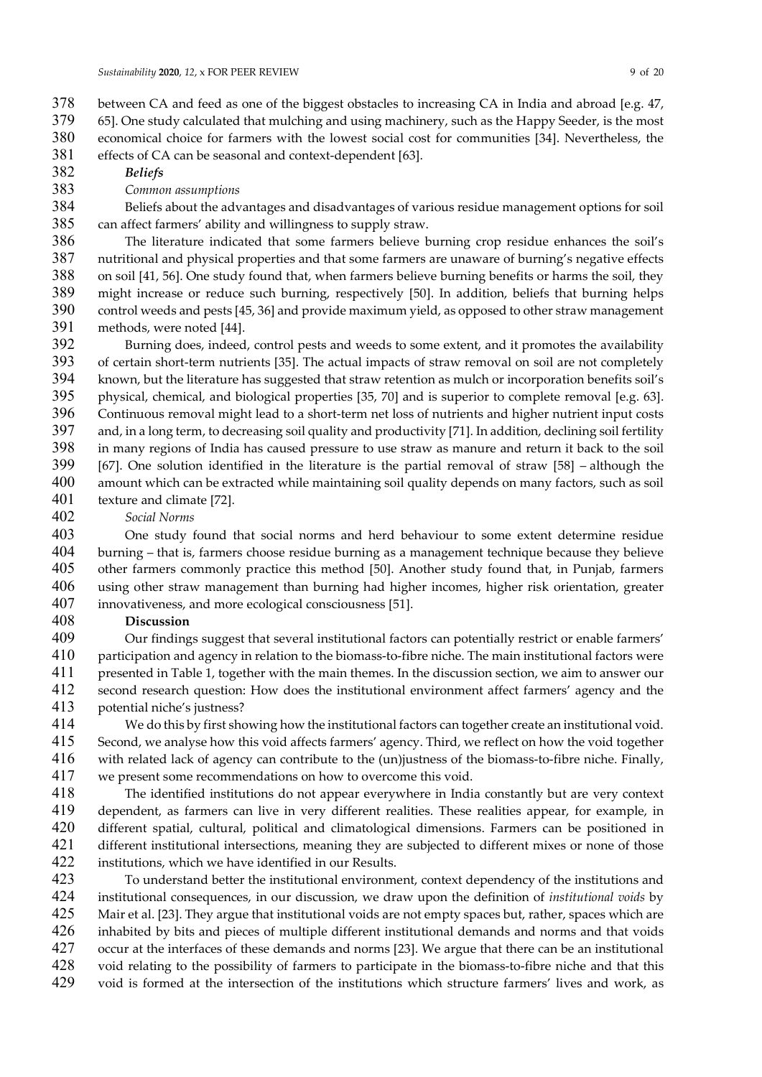- between CA and feed as one of the biggest obstacles to increasing CA in India and abroad [e.g. 47,
- 65]. One study calculated that mulching and using machinery, such as the Happy Seeder, is the most
- economical choice for farmers with the lowest social cost for communities [34]. Nevertheless, the
- effects of CA can be seasonal and context-dependent [63].
- Beliefs
- Common assumptions
- Beliefs about the advantages and disadvantages of various residue management options for soil can affect farmers' ability and willingness to supply straw.
- The literature indicated that some farmers believe burning crop residue enhances the soil's nutritional and physical properties and that some farmers are unaware of burning's negative effects on soil [41, 56]. One study found that, when farmers believe burning benefits or harms the soil, they might increase or reduce such burning, respectively [50]. In addition, beliefs that burning helps control weeds and pests [45, 36] and provide maximum yield, as opposed to other straw management methods, were noted [44].
- Burning does, indeed, control pests and weeds to some extent, and it promotes the availability of certain short-term nutrients [35]. The actual impacts of straw removal on soil are not completely known, but the literature has suggested that straw retention as mulch or incorporation benefits soil's physical, chemical, and biological properties [35, 70] and is superior to complete removal [e.g. 63]. Continuous removal might lead to a short-term net loss of nutrients and higher nutrient input costs and, in a long term, to decreasing soil quality and productivity [71]. In addition, declining soil fertility in many regions of India has caused pressure to use straw as manure and return it back to the soil [67]. One solution identified in the literature is the partial removal of straw [58] – although the amount which can be extracted while maintaining soil quality depends on many factors, such as soil texture and climate [72].
- Social Norms
- One study found that social norms and herd behaviour to some extent determine residue burning – that is, farmers choose residue burning as a management technique because they believe other farmers commonly practice this method [50]. Another study found that, in Punjab, farmers using other straw management than burning had higher incomes, higher risk orientation, greater innovativeness, and more ecological consciousness [51].
- Discussion
- Our findings suggest that several institutional factors can potentially restrict or enable farmers' participation and agency in relation to the biomass-to-fibre niche. The main institutional factors were presented in Table 1, together with the main themes. In the discussion section, we aim to answer our second research question: How does the institutional environment affect farmers' agency and the potential niche's justness?
- We do this by first showing how the institutional factors can together create an institutional void. Second, we analyse how this void affects farmers' agency. Third, we reflect on how the void together with related lack of agency can contribute to the (un)justness of the biomass-to-fibre niche. Finally, we present some recommendations on how to overcome this void.
- The identified institutions do not appear everywhere in India constantly but are very context dependent, as farmers can live in very different realities. These realities appear, for example, in different spatial, cultural, political and climatological dimensions. Farmers can be positioned in different institutional intersections, meaning they are subjected to different mixes or none of those institutions, which we have identified in our Results.
- To understand better the institutional environment, context dependency of the institutions and institutional consequences, in our discussion, we draw upon the definition of institutional voids by Mair et al. [23]. They argue that institutional voids are not empty spaces but, rather, spaces which are 426 inhabited by bits and pieces of multiple different institutional demands and norms and that voids<br>427 occur at the interfaces of these demands and norms [23]. We argue that there can be an institutional occur at the interfaces of these demands and norms [23]. We argue that there can be an institutional void relating to the possibility of farmers to participate in the biomass-to-fibre niche and that this void is formed at the intersection of the institutions which structure farmers' lives and work, as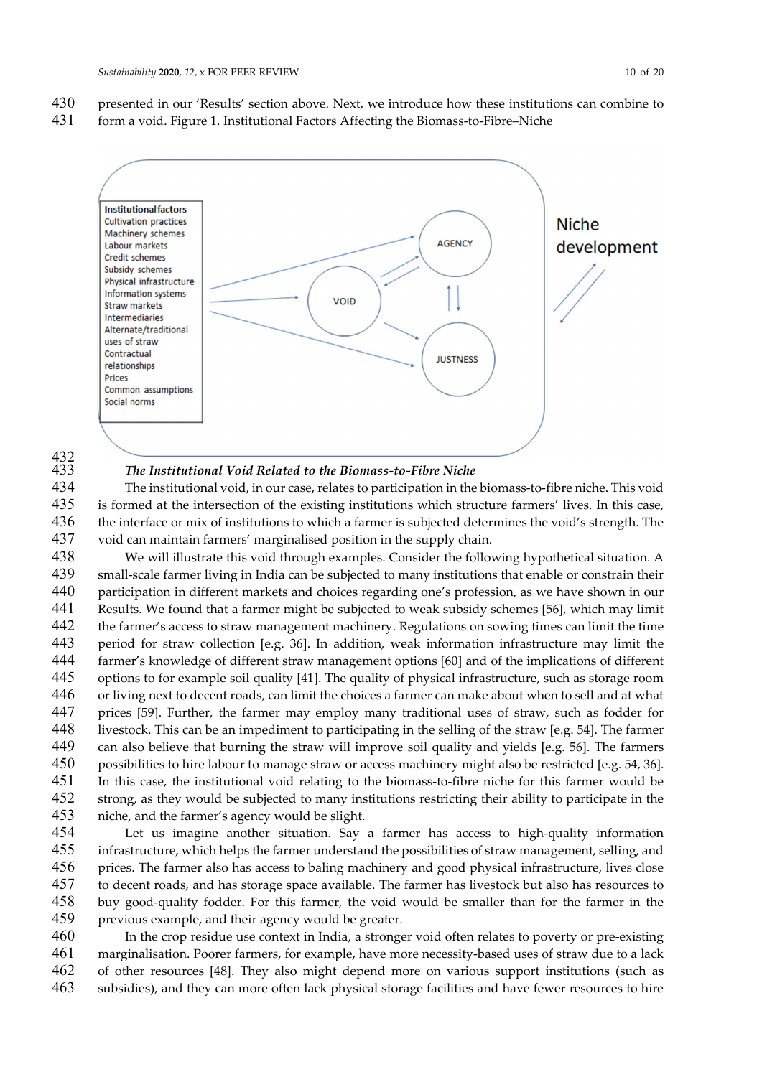presented in our 'Results' section above. Next, we introduce how these institutions can combine to form a void. Figure 1. Institutional Factors Affecting the Biomass-to-Fibre–Niche



# 432<br>433

#### The Institutional Void Related to the Biomass-to-Fibre Niche

The institutional void, in our case, relates to participation in the biomass-to-fibre niche. This void is formed at the intersection of the existing institutions which structure farmers' lives. In this case, 436 the interface or mix of institutions to which a farmer is subjected determines the void's strength. The void can maintain farmers' marginalised position in the supply chain.

We will illustrate this void through examples. Consider the following hypothetical situation. A small-scale farmer living in India can be subjected to many institutions that enable or constrain their participation in different markets and choices regarding one's profession, as we have shown in our Results. We found that a farmer might be subjected to weak subsidy schemes [56], which may limit the farmer's access to straw management machinery. Regulations on sowing times can limit the time period for straw collection [e.g. 36]. In addition, weak information infrastructure may limit the farmer's knowledge of different straw management options [60] and of the implications of different options to for example soil quality [41]. The quality of physical infrastructure, such as storage room or living next to decent roads, can limit the choices a farmer can make about when to sell and at what prices [59]. Further, the farmer may employ many traditional uses of straw, such as fodder for livestock. This can be an impediment to participating in the selling of the straw [e.g. 54]. The farmer can also believe that burning the straw will improve soil quality and yields [e.g. 56]. The farmers possibilities to hire labour to manage straw or access machinery might also be restricted [e.g. 54, 36]. In this case, the institutional void relating to the biomass-to-fibre niche for this farmer would be strong, as they would be subjected to many institutions restricting their ability to participate in the niche, and the farmer's agency would be slight.

Let us imagine another situation. Say a farmer has access to high-quality information infrastructure, which helps the farmer understand the possibilities of straw management, selling, and prices. The farmer also has access to baling machinery and good physical infrastructure, lives close to decent roads, and has storage space available. The farmer has livestock but also has resources to buy good-quality fodder. For this farmer, the void would be smaller than for the farmer in the previous example, and their agency would be greater.

In the crop residue use context in India, a stronger void often relates to poverty or pre-existing marginalisation. Poorer farmers, for example, have more necessity-based uses of straw due to a lack of other resources [48]. They also might depend more on various support institutions (such as subsidies), and they can more often lack physical storage facilities and have fewer resources to hire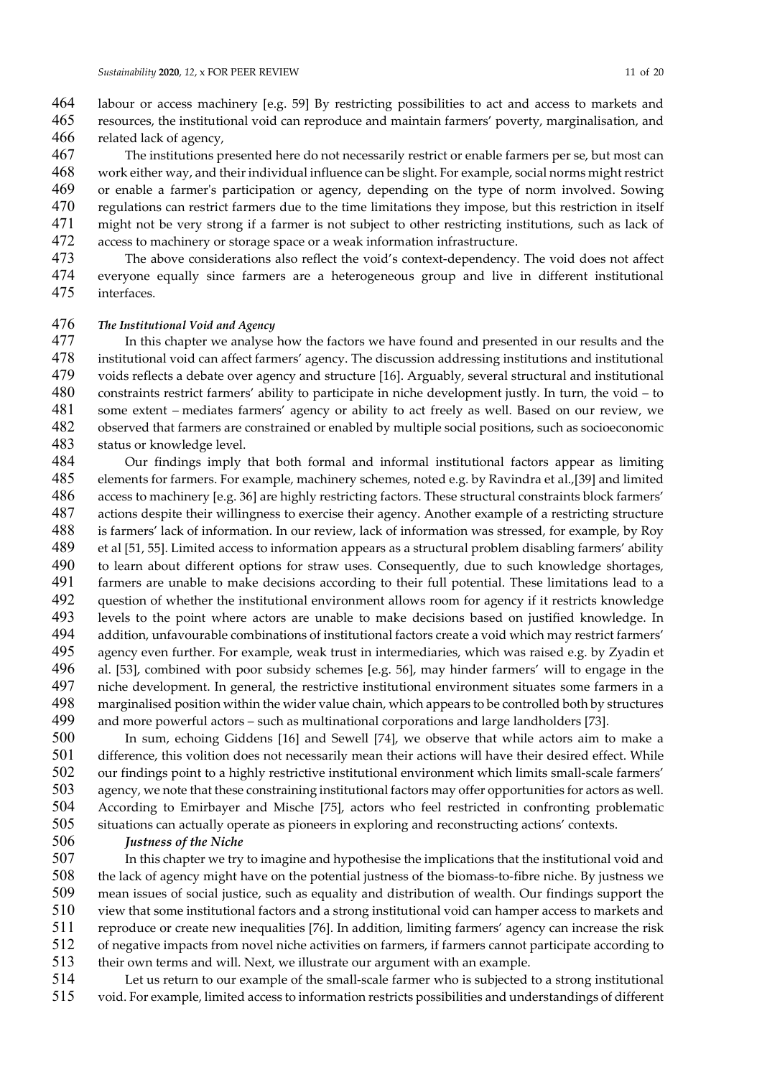labour or access machinery [e.g. 59] By restricting possibilities to act and access to markets and resources, the institutional void can reproduce and maintain farmers' poverty, marginalisation, and related lack of agency,

The institutions presented here do not necessarily restrict or enable farmers per se, but most can work either way, and their individual influence can be slight. For example, social norms might restrict or enable a farmer's participation or agency, depending on the type of norm involved. Sowing regulations can restrict farmers due to the time limitations they impose, but this restriction in itself might not be very strong if a farmer is not subject to other restricting institutions, such as lack of access to machinery or storage space or a weak information infrastructure.

The above considerations also reflect the void's context-dependency. The void does not affect everyone equally since farmers are a heterogeneous group and live in different institutional interfaces.

The Institutional Void and Agency

In this chapter we analyse how the factors we have found and presented in our results and the institutional void can affect farmers' agency. The discussion addressing institutions and institutional voids reflects a debate over agency and structure [16]. Arguably, several structural and institutional constraints restrict farmers' ability to participate in niche development justly. In turn, the void – to some extent – mediates farmers' agency or ability to act freely as well. Based on our review, we observed that farmers are constrained or enabled by multiple social positions, such as socioeconomic status or knowledge level.

- Our findings imply that both formal and informal institutional factors appear as limiting elements for farmers. For example, machinery schemes, noted e.g. by Ravindra et al.,[39] and limited access to machinery [e.g. 36] are highly restricting factors. These structural constraints block farmers' actions despite their willingness to exercise their agency. Another example of a restricting structure is farmers' lack of information. In our review, lack of information was stressed, for example, by Roy et al [51, 55]. Limited access to information appears as a structural problem disabling farmers' ability to learn about different options for straw uses. Consequently, due to such knowledge shortages, farmers are unable to make decisions according to their full potential. These limitations lead to a question of whether the institutional environment allows room for agency if it restricts knowledge levels to the point where actors are unable to make decisions based on justified knowledge. In addition, unfavourable combinations of institutional factors create a void which may restrict farmers' agency even further. For example, weak trust in intermediaries, which was raised e.g. by Zyadin et al. [53], combined with poor subsidy schemes [e.g. 56], may hinder farmers' will to engage in the niche development. In general, the restrictive institutional environment situates some farmers in a marginalised position within the wider value chain, which appears to be controlled both by structures and more powerful actors – such as multinational corporations and large landholders [73].
- In sum, echoing Giddens [16] and Sewell [74], we observe that while actors aim to make a difference, this volition does not necessarily mean their actions will have their desired effect. While our findings point to a highly restrictive institutional environment which limits small-scale farmers' agency, we note that these constraining institutional factors may offer opportunities for actors as well. According to Emirbayer and Mische [75], actors who feel restricted in confronting problematic situations can actually operate as pioneers in exploring and reconstructing actions' contexts.
- Justness of the Niche

In this chapter we try to imagine and hypothesise the implications that the institutional void and the lack of agency might have on the potential justness of the biomass-to-fibre niche. By justness we mean issues of social justice, such as equality and distribution of wealth. Our findings support the view that some institutional factors and a strong institutional void can hamper access to markets and reproduce or create new inequalities [76]. In addition, limiting farmers' agency can increase the risk of negative impacts from novel niche activities on farmers, if farmers cannot participate according to their own terms and will. Next, we illustrate our argument with an example.

Let us return to our example of the small-scale farmer who is subjected to a strong institutional void. For example, limited access to information restricts possibilities and understandings of different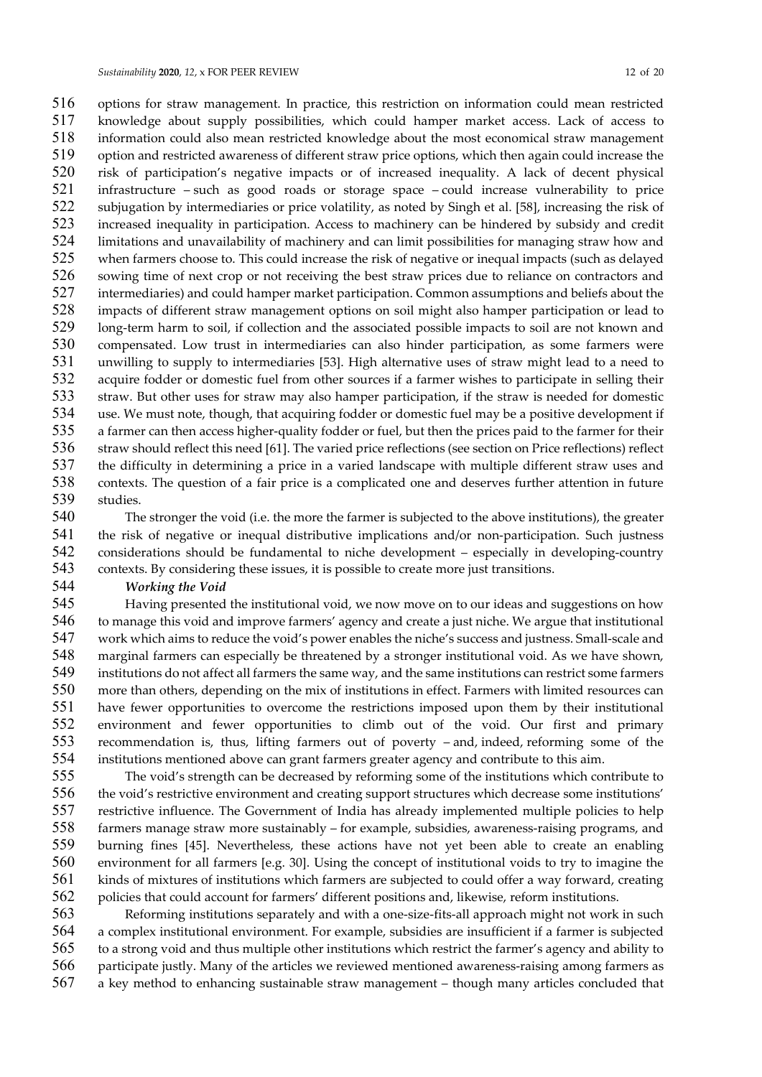options for straw management. In practice, this restriction on information could mean restricted knowledge about supply possibilities, which could hamper market access. Lack of access to information could also mean restricted knowledge about the most economical straw management option and restricted awareness of different straw price options, which then again could increase the risk of participation's negative impacts or of increased inequality. A lack of decent physical infrastructure – such as good roads or storage space – could increase vulnerability to price subjugation by intermediaries or price volatility, as noted by Singh et al. [58], increasing the risk of increased inequality in participation. Access to machinery can be hindered by subsidy and credit limitations and unavailability of machinery and can limit possibilities for managing straw how and when farmers choose to. This could increase the risk of negative or inequal impacts (such as delayed sowing time of next crop or not receiving the best straw prices due to reliance on contractors and intermediaries) and could hamper market participation. Common assumptions and beliefs about the impacts of different straw management options on soil might also hamper participation or lead to long-term harm to soil, if collection and the associated possible impacts to soil are not known and compensated. Low trust in intermediaries can also hinder participation, as some farmers were unwilling to supply to intermediaries [53]. High alternative uses of straw might lead to a need to acquire fodder or domestic fuel from other sources if a farmer wishes to participate in selling their straw. But other uses for straw may also hamper participation, if the straw is needed for domestic use. We must note, though, that acquiring fodder or domestic fuel may be a positive development if a farmer can then access higher-quality fodder or fuel, but then the prices paid to the farmer for their 536 straw should reflect this need [61]. The varied price reflections (see section on Price reflections) reflect the difficulty in determining a price in a varied landscape with multiple different straw uses and contexts. The question of a fair price is a complicated one and deserves further attention in future studies.

The stronger the void (i.e. the more the farmer is subjected to the above institutions), the greater the risk of negative or inequal distributive implications and/or non-participation. Such justness considerations should be fundamental to niche development – especially in developing-country contexts. By considering these issues, it is possible to create more just transitions.

Working the Void

Having presented the institutional void, we now move on to our ideas and suggestions on how to manage this void and improve farmers' agency and create a just niche. We argue that institutional work which aims to reduce the void's power enables the niche's success and justness. Small-scale and marginal farmers can especially be threatened by a stronger institutional void. As we have shown, institutions do not affect all farmers the same way, and the same institutions can restrict some farmers more than others, depending on the mix of institutions in effect. Farmers with limited resources can have fewer opportunities to overcome the restrictions imposed upon them by their institutional environment and fewer opportunities to climb out of the void. Our first and primary recommendation is, thus, lifting farmers out of poverty – and, indeed, reforming some of the institutions mentioned above can grant farmers greater agency and contribute to this aim.

The void's strength can be decreased by reforming some of the institutions which contribute to the void's restrictive environment and creating support structures which decrease some institutions' restrictive influence. The Government of India has already implemented multiple policies to help farmers manage straw more sustainably – for example, subsidies, awareness-raising programs, and burning fines [45]. Nevertheless, these actions have not yet been able to create an enabling environment for all farmers [e.g. 30]. Using the concept of institutional voids to try to imagine the kinds of mixtures of institutions which farmers are subjected to could offer a way forward, creating policies that could account for farmers' different positions and, likewise, reform institutions.

Reforming institutions separately and with a one-size-fits-all approach might not work in such a complex institutional environment. For example, subsidies are insufficient if a farmer is subjected to a strong void and thus multiple other institutions which restrict the farmer's agency and ability to participate justly. Many of the articles we reviewed mentioned awareness-raising among farmers as a key method to enhancing sustainable straw management – though many articles concluded that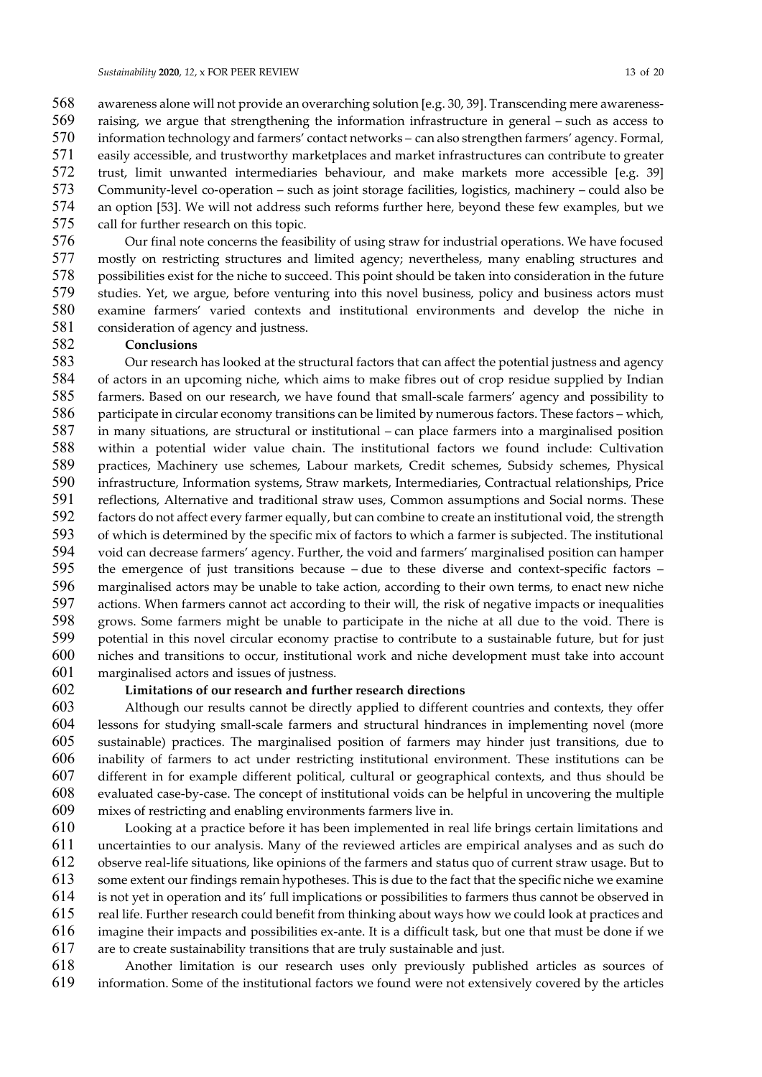awareness alone will not provide an overarching solution [e.g. 30, 39]. Transcending mere awareness-raising, we argue that strengthening the information infrastructure in general – such as access to information technology and farmers' contact networks – can also strengthen farmers' agency. Formal, easily accessible, and trustworthy marketplaces and market infrastructures can contribute to greater trust, limit unwanted intermediaries behaviour, and make markets more accessible [e.g. 39] Community-level co-operation – such as joint storage facilities, logistics, machinery – could also be an option [53]. We will not address such reforms further here, beyond these few examples, but we call for further research on this topic.

Our final note concerns the feasibility of using straw for industrial operations. We have focused mostly on restricting structures and limited agency; nevertheless, many enabling structures and possibilities exist for the niche to succeed. This point should be taken into consideration in the future 579 studies. Yet, we argue, before venturing into this novel business, policy and business actors must examine farmers' varied contexts and institutional environments and develop the niche in 581 consideration of agency and justness.

## Conclusions

Our research has looked at the structural factors that can affect the potential justness and agency of actors in an upcoming niche, which aims to make fibres out of crop residue supplied by Indian farmers. Based on our research, we have found that small-scale farmers' agency and possibility to participate in circular economy transitions can be limited by numerous factors. These factors – which, in many situations, are structural or institutional – can place farmers into a marginalised position within a potential wider value chain. The institutional factors we found include: Cultivation practices, Machinery use schemes, Labour markets, Credit schemes, Subsidy schemes, Physical infrastructure, Information systems, Straw markets, Intermediaries, Contractual relationships, Price reflections, Alternative and traditional straw uses, Common assumptions and Social norms. These factors do not affect every farmer equally, but can combine to create an institutional void, the strength of which is determined by the specific mix of factors to which a farmer is subjected. The institutional void can decrease farmers' agency. Further, the void and farmers' marginalised position can hamper the emergence of just transitions because – due to these diverse and context-specific factors – marginalised actors may be unable to take action, according to their own terms, to enact new niche actions. When farmers cannot act according to their will, the risk of negative impacts or inequalities grows. Some farmers might be unable to participate in the niche at all due to the void. There is potential in this novel circular economy practise to contribute to a sustainable future, but for just niches and transitions to occur, institutional work and niche development must take into account marginalised actors and issues of justness.

#### Limitations of our research and further research directions

Although our results cannot be directly applied to different countries and contexts, they offer lessons for studying small-scale farmers and structural hindrances in implementing novel (more sustainable) practices. The marginalised position of farmers may hinder just transitions, due to inability of farmers to act under restricting institutional environment. These institutions can be different in for example different political, cultural or geographical contexts, and thus should be evaluated case-by-case. The concept of institutional voids can be helpful in uncovering the multiple mixes of restricting and enabling environments farmers live in.

Looking at a practice before it has been implemented in real life brings certain limitations and uncertainties to our analysis. Many of the reviewed articles are empirical analyses and as such do observe real-life situations, like opinions of the farmers and status quo of current straw usage. But to some extent our findings remain hypotheses. This is due to the fact that the specific niche we examine is not yet in operation and its' full implications or possibilities to farmers thus cannot be observed in real life. Further research could benefit from thinking about ways how we could look at practices and imagine their impacts and possibilities ex-ante. It is a difficult task, but one that must be done if we are to create sustainability transitions that are truly sustainable and just.

Another limitation is our research uses only previously published articles as sources of information. Some of the institutional factors we found were not extensively covered by the articles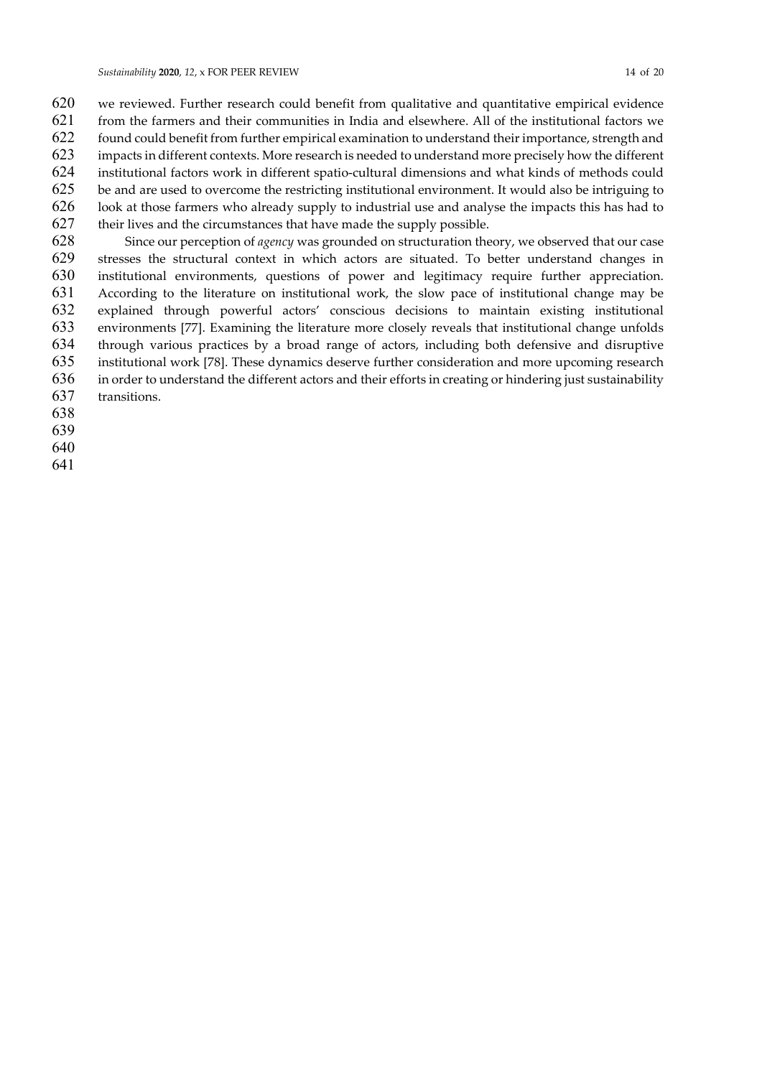we reviewed. Further research could benefit from qualitative and quantitative empirical evidence from the farmers and their communities in India and elsewhere. All of the institutional factors we found could benefit from further empirical examination to understand their importance, strength and impacts in different contexts. More research is needed to understand more precisely how the different institutional factors work in different spatio-cultural dimensions and what kinds of methods could be and are used to overcome the restricting institutional environment. It would also be intriguing to look at those farmers who already supply to industrial use and analyse the impacts this has had to their lives and the circumstances that have made the supply possible.

Since our perception of agency was grounded on structuration theory, we observed that our case stresses the structural context in which actors are situated. To better understand changes in institutional environments, questions of power and legitimacy require further appreciation. According to the literature on institutional work, the slow pace of institutional change may be explained through powerful actors' conscious decisions to maintain existing institutional environments [77]. Examining the literature more closely reveals that institutional change unfolds through various practices by a broad range of actors, including both defensive and disruptive institutional work [78]. These dynamics deserve further consideration and more upcoming research in order to understand the different actors and their efforts in creating or hindering just sustainability transitions.

- 
-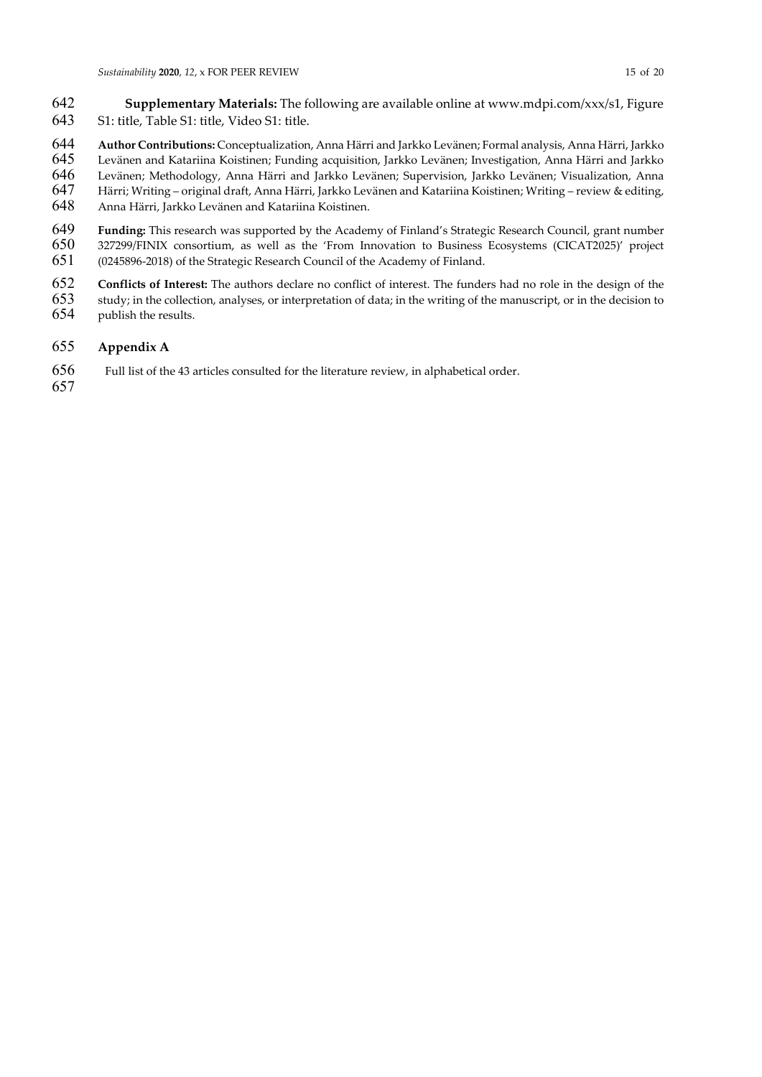- Supplementary Materials: The following are available online at www.mdpi.com/xxx/s1, Figure S1: title, Table S1: title, Video S1: title.
- 644 Author Contributions: Conceptualization, Anna Härri and Jarkko Levänen; Formal analysis, Anna Härri, Jarkko<br>645 Levänen and Katariina Koistinen; Funding acquisition, Jarkko Levänen; Investigation, Anna Härri and Jarkko
- Levänen and Katariina Koistinen; Funding acquisition, Jarkko Levänen; Investigation, Anna Härri and Jarkko
- Levänen; Methodology, Anna Härri and Jarkko Levänen; Supervision, Jarkko Levänen; Visualization, Anna
- Härri; Writing original draft, Anna Härri, Jarkko Levänen and Katariina Koistinen; Writing review & editing,
- Anna Härri, Jarkko Levänen and Katariina Koistinen.
- 649 Funding: This research was supported by the Academy of Finland's Strategic Research Council, grant number<br>650 327299/FINIX consortium, as well as the 'From Innovation to Business Ecosystems (CICAT2025)' project 327299/FINIX consortium, as well as the 'From Innovation to Business Ecosystems (CICAT2025)' project (0245896-2018) of the Strategic Research Council of the Academy of Finland.
- Conflicts of Interest: The authors declare no conflict of interest. The funders had no role in the design of the
- study; in the collection, analyses, or interpretation of data; in the writing of the manuscript, or in the decision to
- publish the results.

#### Appendix A

- Full list of the 43 articles consulted for the literature review, in alphabetical order.
-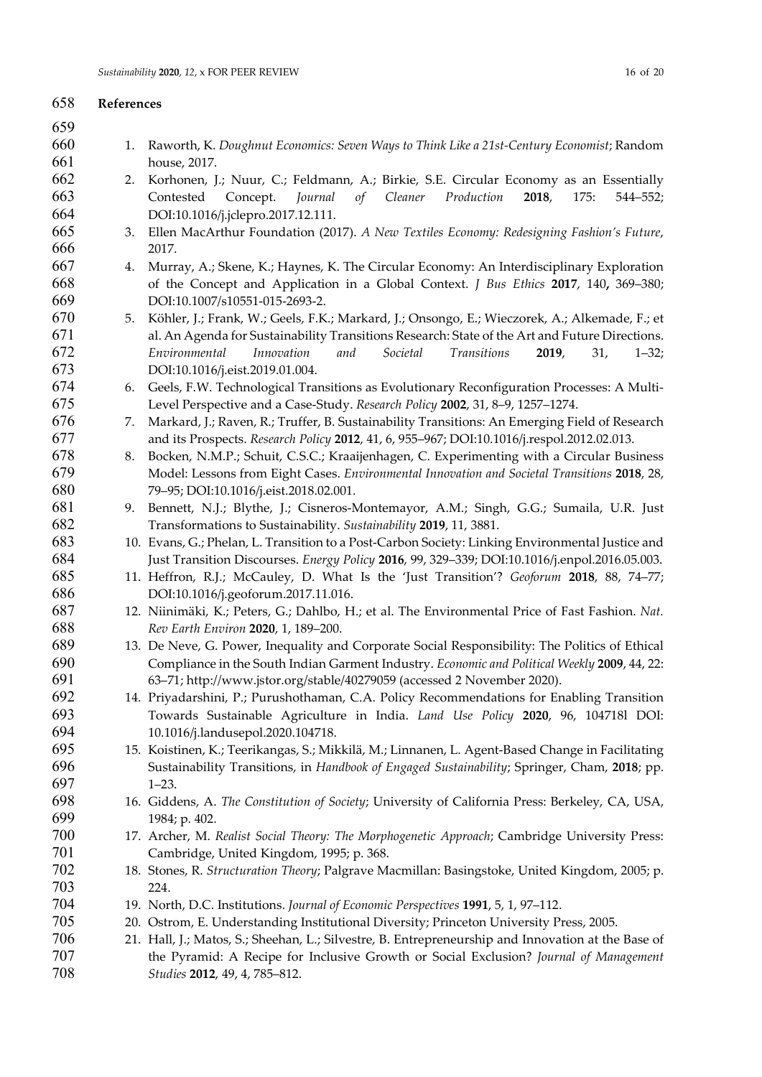## References 1. Raworth, K. Doughnut Economics: Seven Ways to Think Like a 21st-Century Economist; Random house, 2017. 2. Korhonen, J.; Nuur, C.; Feldmann, A.; Birkie, S.E. Circular Economy as an Essentially Contested Concept. Journal of Cleaner Production 2018, 175: 544–552; DOI:10.1016/j.jclepro.2017.12.111. 3. Ellen MacArthur Foundation (2017). A New Textiles Economy: Redesigning Fashion's Future, 2017. 4. Murray, A.; Skene, K.; Haynes, K. The Circular Economy: An Interdisciplinary Exploration of the Concept and Application in a Global Context. J Bus Ethics 2017, 140, 369–380; DOI:10.1007/s10551-015-2693-2. 5. Köhler, J.; Frank, W.; Geels, F.K.; Markard, J.; Onsongo, E.; Wieczorek, A.; Alkemade, F.; et al. An Agenda for Sustainability Transitions Research: State of the Art and Future Directions. Environmental Innovation and Societal Transitions 2019, 31, 1–32; DOI:10.1016/j.eist.2019.01.004. 6. Geels, F.W. Technological Transitions as Evolutionary Reconfiguration Processes: A Multi-Level Perspective and a Case-Study. Research Policy 2002, 31, 8–9, 1257–1274. 7. Markard, J.; Raven, R.; Truffer, B. Sustainability Transitions: An Emerging Field of Research and its Prospects. Research Policy 2012, 41, 6, 955–967; DOI:10.1016/j.respol.2012.02.013. 8. Bocken, N.M.P.; Schuit, C.S.C.; Kraaijenhagen, C. Experimenting with a Circular Business Model: Lessons from Eight Cases. Environmental Innovation and Societal Transitions 2018, 28, 79–95; DOI:10.1016/j.eist.2018.02.001. 9. Bennett, N.J.; Blythe, J.; Cisneros-Montemayor, A.M.; Singh, G.G.; Sumaila, U.R. Just Transformations to Sustainability. Sustainability 2019, 11, 3881. 10. Evans, G.; Phelan, L. Transition to a Post-Carbon Society: Linking Environmental Justice and Just Transition Discourses. Energy Policy 2016, 99, 329–339; DOI:10.1016/j.enpol.2016.05.003. 11. Heffron, R.J.; McCauley, D. What Is the 'Just Transition'? Geoforum 2018, 88, 74–77; DOI:10.1016/j.geoforum.2017.11.016. 12. Niinimäki, K.; Peters, G.; Dahlbo, H.; et al. The Environmental Price of Fast Fashion. Nat. Rev Earth Environ 2020, 1, 189–200. 13. De Neve, G. Power, Inequality and Corporate Social Responsibility: The Politics of Ethical Compliance in the South Indian Garment Industry. Economic and Political Weekly 2009, 44, 22: 63–71; http://www.jstor.org/stable/40279059 (accessed 2 November 2020). 14. Priyadarshini, P.; Purushothaman, C.A. Policy Recommendations for Enabling Transition Towards Sustainable Agriculture in India. Land Use Policy 2020, 96, 104718l DOI: 10.1016/j.landusepol.2020.104718. 15. Koistinen, K.; Teerikangas, S.; Mikkilä, M.; Linnanen, L. Agent-Based Change in Facilitating Sustainability Transitions, in Handbook of Engaged Sustainability; Springer, Cham, 2018; pp. 1–23. 16. Giddens, A. The Constitution of Society; University of California Press: Berkeley, CA, USA, 1984; p. 402. 17. Archer, M. Realist Social Theory: The Morphogenetic Approach; Cambridge University Press: Cambridge, United Kingdom, 1995; p. 368. 18. Stones, R. Structuration Theory; Palgrave Macmillan: Basingstoke, United Kingdom, 2005; p. 224. 19. North, D.C. Institutions. Journal of Economic Perspectives 1991, 5, 1, 97–112. 20. Ostrom, E. Understanding Institutional Diversity; Princeton University Press, 2005. 21. Hall, J.; Matos, S.; Sheehan, L.; Silvestre, B. Entrepreneurship and Innovation at the Base of the Pyramid: A Recipe for Inclusive Growth or Social Exclusion? Journal of Management Studies 2012, 49, 4, 785–812.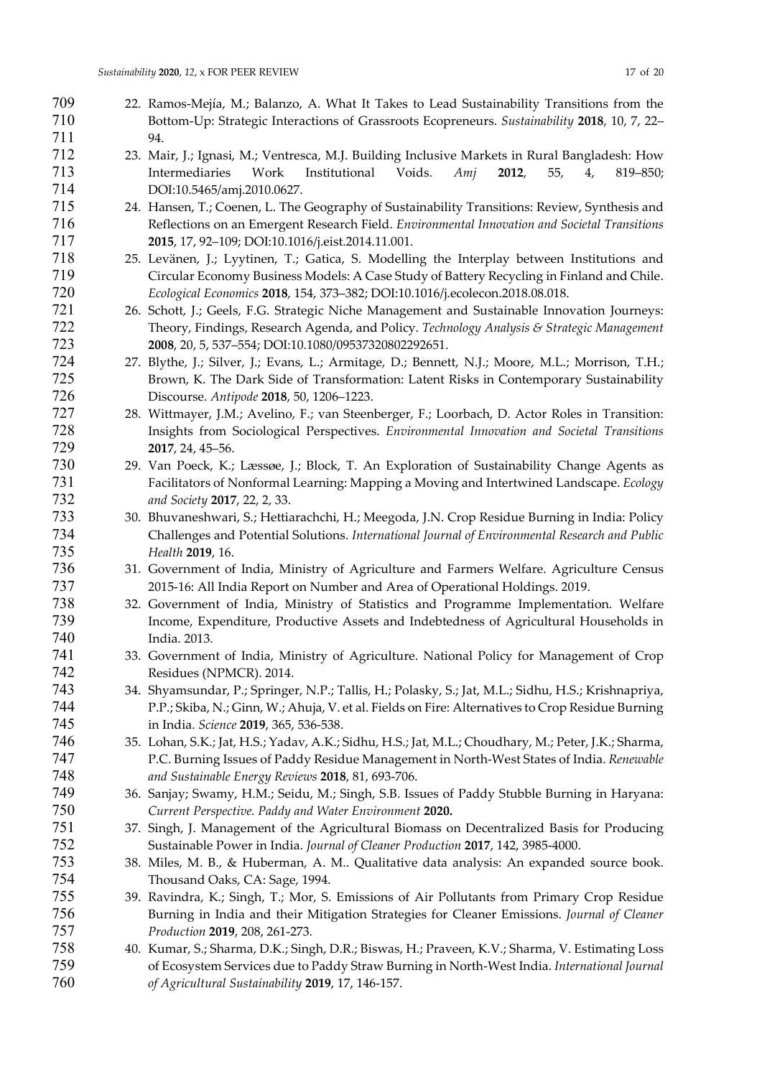- 22. Ramos-Mejía, M.; Balanzo, A. What It Takes to Lead Sustainability Transitions from the Bottom-Up: Strategic Interactions of Grassroots Ecopreneurs. Sustainability 2018, 10, 7, 22– 94. 23. Mair, J.; Ignasi, M.; Ventresca, M.J. Building Inclusive Markets in Rural Bangladesh: How Intermediaries Work Institutional Voids. Amj 2012, 55, 4, 819–850; DOI:10.5465/amj.2010.0627. 24. Hansen, T.; Coenen, L. The Geography of Sustainability Transitions: Review, Synthesis and Reflections on an Emergent Research Field. Environmental Innovation and Societal Transitions 2015, 17, 92–109; DOI:10.1016/j.eist.2014.11.001. 25. Levänen, J.; Lyytinen, T.; Gatica, S. Modelling the Interplay between Institutions and Circular Economy Business Models: A Case Study of Battery Recycling in Finland and Chile. Ecological Economics 2018, 154, 373–382; DOI:10.1016/j.ecolecon.2018.08.018. 26. Schott, J.; Geels, F.G. Strategic Niche Management and Sustainable Innovation Journeys: Theory, Findings, Research Agenda, and Policy. Technology Analysis & Strategic Management 2008, 20, 5, 537–554; DOI:10.1080/09537320802292651. 27. Blythe, J.; Silver, J.; Evans, L.; Armitage, D.; Bennett, N.J.; Moore, M.L.; Morrison, T.H.; Brown, K. The Dark Side of Transformation: Latent Risks in Contemporary Sustainability Discourse. Antipode 2018, 50, 1206–1223. 28. Wittmayer, J.M.; Avelino, F.; van Steenberger, F.; Loorbach, D. Actor Roles in Transition: Insights from Sociological Perspectives. Environmental Innovation and Societal Transitions 2017, 24, 45–56. 29. Van Poeck, K.; Læssøe, J.; Block, T. An Exploration of Sustainability Change Agents as Facilitators of Nonformal Learning: Mapping a Moving and Intertwined Landscape. Ecology and Society 2017, 22, 2, 33. 30. Bhuvaneshwari, S.; Hettiarachchi, H.; Meegoda, J.N. Crop Residue Burning in India: Policy Challenges and Potential Solutions. International Journal of Environmental Research and Public Health 2019, 16. 31. Government of India, Ministry of Agriculture and Farmers Welfare. Agriculture Census 2015-16: All India Report on Number and Area of Operational Holdings. 2019. 32. Government of India, Ministry of Statistics and Programme Implementation. Welfare
- Income, Expenditure, Productive Assets and Indebtedness of Agricultural Households in India. 2013.
- 33. Government of India, Ministry of Agriculture. National Policy for Management of Crop Residues (NPMCR). 2014.
- 34. Shyamsundar, P.; Springer, N.P.; Tallis, H.; Polasky, S.; Jat, M.L.; Sidhu, H.S.; Krishnapriya, P.P.; Skiba, N.; Ginn, W.; Ahuja, V. et al. Fields on Fire: Alternatives to Crop Residue Burning in India. Science 2019, 365, 536-538.
- 35. Lohan, S.K.; Jat, H.S.; Yadav, A.K.; Sidhu, H.S.; Jat, M.L.; Choudhary, M.; Peter, J.K.; Sharma, P.C. Burning Issues of Paddy Residue Management in North-West States of India. Renewable and Sustainable Energy Reviews 2018, 81, 693-706.
- 36. Sanjay; Swamy, H.M.; Seidu, M.; Singh, S.B. Issues of Paddy Stubble Burning in Haryana: Current Perspective. Paddy and Water Environment 2020.
- 37. Singh, J. Management of the Agricultural Biomass on Decentralized Basis for Producing Sustainable Power in India. Journal of Cleaner Production 2017, 142, 3985-4000.
- 38. Miles, M. B., & Huberman, A. M.. Qualitative data analysis: An expanded source book. Thousand Oaks, CA: Sage, 1994.
- 39. Ravindra, K.; Singh, T.; Mor, S. Emissions of Air Pollutants from Primary Crop Residue Burning in India and their Mitigation Strategies for Cleaner Emissions. Journal of Cleaner Production 2019, 208, 261-273.
- 40. Kumar, S.; Sharma, D.K.; Singh, D.R.; Biswas, H.; Praveen, K.V.; Sharma, V. Estimating Loss of Ecosystem Services due to Paddy Straw Burning in North-West India. International Journal of Agricultural Sustainability 2019, 17, 146-157.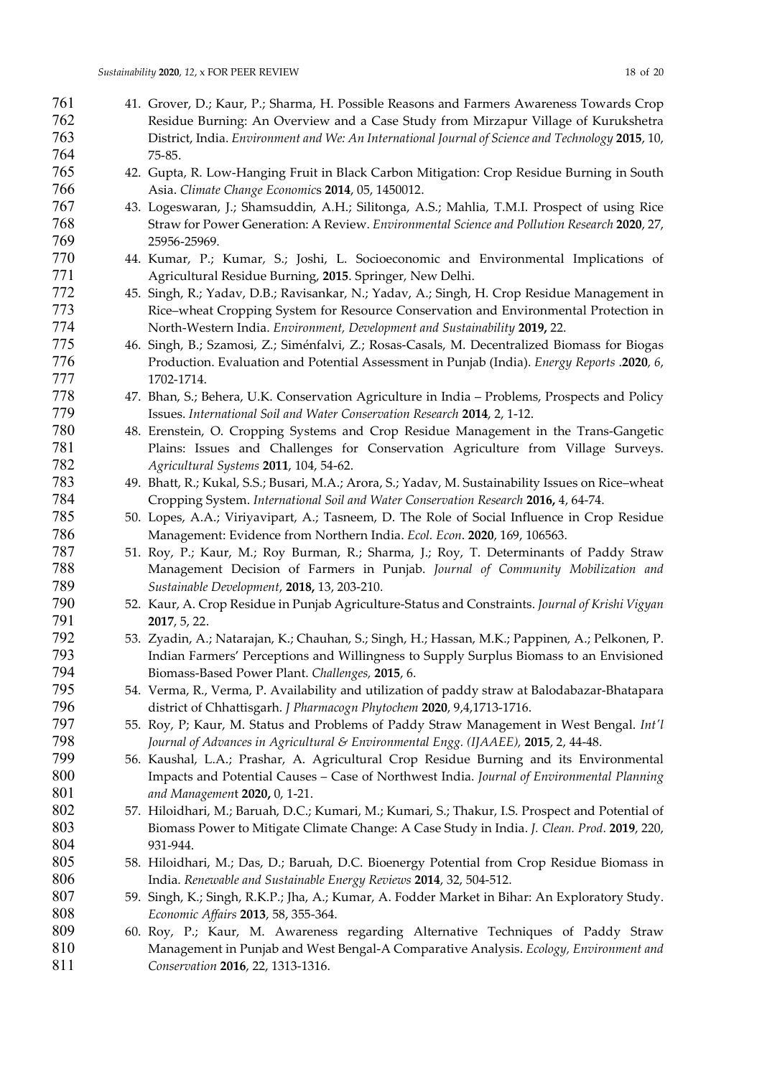| 761 | 41. Grover, D.; Kaur, P.; Sharma, H. Possible Reasons and Farmers Awareness Towards Crop           |
|-----|----------------------------------------------------------------------------------------------------|
| 762 | Residue Burning: An Overview and a Case Study from Mirzapur Village of Kurukshetra                 |
| 763 | District, India. Environment and We: An International Journal of Science and Technology 2015, 10,  |
| 764 | 75-85.                                                                                             |
| 765 | 42. Gupta, R. Low-Hanging Fruit in Black Carbon Mitigation: Crop Residue Burning in South          |
| 766 | Asia. Climate Change Economics 2014, 05, 1450012.                                                  |
|     |                                                                                                    |
| 767 | 43. Logeswaran, J.; Shamsuddin, A.H.; Silitonga, A.S.; Mahlia, T.M.I. Prospect of using Rice       |
| 768 | Straw for Power Generation: A Review. Environmental Science and Pollution Research 2020, 27,       |
| 769 | 25956-25969.                                                                                       |
| 770 | 44. Kumar, P.; Kumar, S.; Joshi, L. Socioeconomic and Environmental Implications of                |
| 771 | Agricultural Residue Burning, 2015. Springer, New Delhi.                                           |
| 772 | 45. Singh, R.; Yadav, D.B.; Ravisankar, N.; Yadav, A.; Singh, H. Crop Residue Management in        |
| 773 | Rice-wheat Cropping System for Resource Conservation and Environmental Protection in               |
| 774 | North-Western India. Environment, Development and Sustainability 2019, 22.                         |
| 775 | 46. Singh, B.; Szamosi, Z.; Siménfalvi, Z.; Rosas-Casals, M. Decentralized Biomass for Biogas      |
| 776 | Production. Evaluation and Potential Assessment in Punjab (India). Energy Reports .2020, 6,        |
|     |                                                                                                    |
| 777 | 1702-1714.                                                                                         |
| 778 | 47. Bhan, S.; Behera, U.K. Conservation Agriculture in India - Problems, Prospects and Policy      |
| 779 | Issues. International Soil and Water Conservation Research 2014, 2, 1-12.                          |
| 780 | 48. Erenstein, O. Cropping Systems and Crop Residue Management in the Trans-Gangetic               |
| 781 | Plains: Issues and Challenges for Conservation Agriculture from Village Surveys.                   |
| 782 | Agricultural Systems 2011, 104, 54-62.                                                             |
| 783 | 49. Bhatt, R.; Kukal, S.S.; Busari, M.A.; Arora, S.; Yadav, M. Sustainability Issues on Rice-wheat |
| 784 | Cropping System. International Soil and Water Conservation Research 2016, 4, 64-74.                |
| 785 | 50. Lopes, A.A.; Viriyavipart, A.; Tasneem, D. The Role of Social Influence in Crop Residue        |
| 786 |                                                                                                    |
|     | Management: Evidence from Northern India. Ecol. Econ. 2020, 169, 106563.                           |
| 787 | 51. Roy, P.; Kaur, M.; Roy Burman, R.; Sharma, J.; Roy, T. Determinants of Paddy Straw             |
| 788 | Management Decision of Farmers in Punjab. Journal of Community Mobilization and                    |
| 789 | Sustainable Development, 2018, 13, 203-210.                                                        |
| 790 | 52. Kaur, A. Crop Residue in Punjab Agriculture-Status and Constraints. Journal of Krishi Vigyan   |
| 791 | 2017, 5, 22.                                                                                       |
| 792 | 53. Zyadin, A.; Natarajan, K.; Chauhan, S.; Singh, H.; Hassan, M.K.; Pappinen, A.; Pelkonen, P.    |
| 793 | Indian Farmers' Perceptions and Willingness to Supply Surplus Biomass to an Envisioned             |
| 794 | Biomass-Based Power Plant. Challenges, 2015, 6.                                                    |
| 795 | 54. Verma, R., Verma, P. Availability and utilization of paddy straw at Balodabazar-Bhatapara      |
| 796 | district of Chhattisgarh. J Pharmacogn Phytochem 2020, 9,4,1713-1716.                              |
| 797 | 55. Roy, P; Kaur, M. Status and Problems of Paddy Straw Management in West Bengal. Int'l           |
|     |                                                                                                    |
| 798 | Journal of Advances in Agricultural & Environmental Engg. (IJAAEE), 2015, 2, 44-48.                |
| 799 | 56. Kaushal, L.A.; Prashar, A. Agricultural Crop Residue Burning and its Environmental             |
| 800 | Impacts and Potential Causes - Case of Northwest India. Journal of Environmental Planning          |
| 801 | and Management 2020, 0, 1-21.                                                                      |
| 802 | 57. Hiloidhari, M.; Baruah, D.C.; Kumari, M.; Kumari, S.; Thakur, I.S. Prospect and Potential of   |
| 803 | Biomass Power to Mitigate Climate Change: A Case Study in India. J. Clean. Prod. 2019, 220,        |
| 804 | 931-944.                                                                                           |
| 805 | 58. Hiloidhari, M.; Das, D.; Baruah, D.C. Bioenergy Potential from Crop Residue Biomass in         |
| 806 | India. Renewable and Sustainable Energy Reviews 2014, 32, 504-512.                                 |
| 807 |                                                                                                    |
| 808 | 59. Singh, K.; Singh, R.K.P.; Jha, A.; Kumar, A. Fodder Market in Bihar: An Exploratory Study.     |
|     | Economic Affairs 2013, 58, 355-364.                                                                |
| 809 | 60. Roy, P.; Kaur, M. Awareness regarding Alternative Techniques of Paddy Straw                    |
| 810 | Management in Punjab and West Bengal-A Comparative Analysis. Ecology, Environment and              |
| 811 | Conservation 2016, 22, 1313-1316.                                                                  |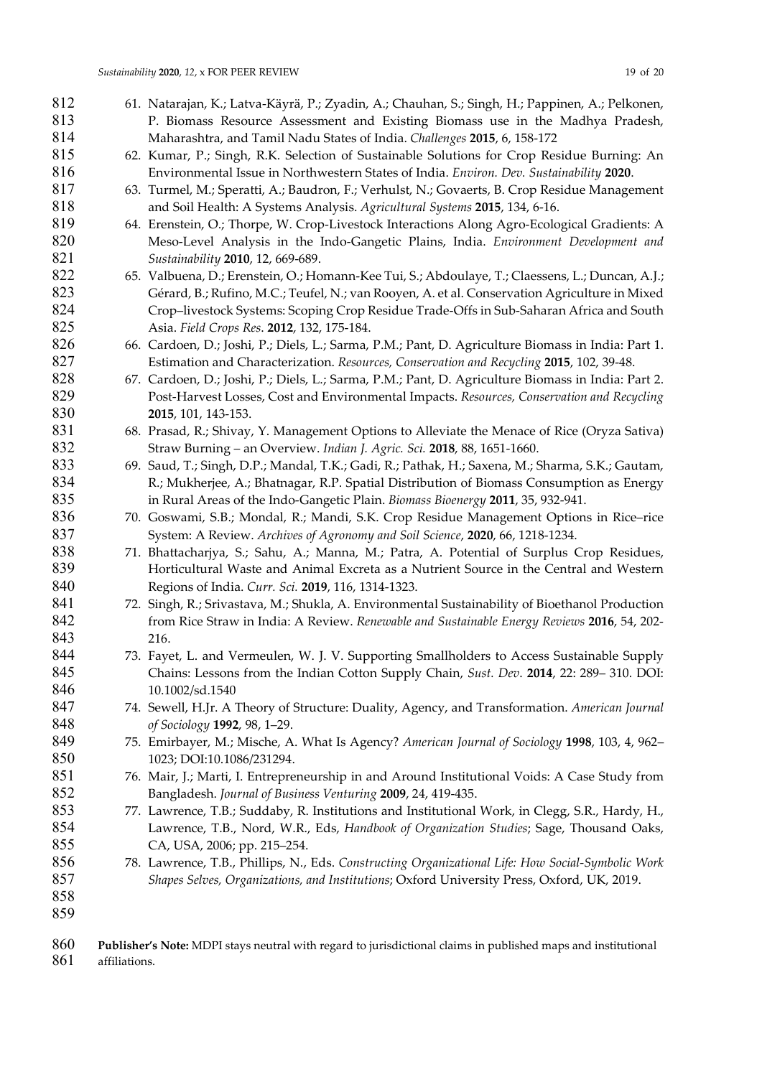| 812 | 61. Natarajan, K.; Latva-Käyrä, P.; Zyadin, A.; Chauhan, S.; Singh, H.; Pappinen, A.; Pelkonen,    |
|-----|----------------------------------------------------------------------------------------------------|
| 813 | P. Biomass Resource Assessment and Existing Biomass use in the Madhya Pradesh,                     |
| 814 | Maharashtra, and Tamil Nadu States of India. Challenges 2015, 6, 158-172                           |
| 815 | 62. Kumar, P.; Singh, R.K. Selection of Sustainable Solutions for Crop Residue Burning: An         |
| 816 | Environmental Issue in Northwestern States of India. Environ. Dev. Sustainability 2020.            |
| 817 | 63. Turmel, M.; Speratti, A.; Baudron, F.; Verhulst, N.; Govaerts, B. Crop Residue Management      |
| 818 | and Soil Health: A Systems Analysis. Agricultural Systems 2015, 134, 6-16.                         |
| 819 | 64. Erenstein, O.; Thorpe, W. Crop-Livestock Interactions Along Agro-Ecological Gradients: A       |
| 820 | Meso-Level Analysis in the Indo-Gangetic Plains, India. Environment Development and                |
| 821 | Sustainability 2010, 12, 669-689.                                                                  |
| 822 | 65. Valbuena, D.; Erenstein, O.; Homann-Kee Tui, S.; Abdoulaye, T.; Claessens, L.; Duncan, A.J.;   |
| 823 | Gérard, B.; Rufino, M.C.; Teufel, N.; van Rooyen, A. et al. Conservation Agriculture in Mixed      |
| 824 | Crop-livestock Systems: Scoping Crop Residue Trade-Offs in Sub-Saharan Africa and South            |
| 825 | Asia. Field Crops Res. 2012, 132, 175-184.                                                         |
| 826 | 66. Cardoen, D.; Joshi, P.; Diels, L.; Sarma, P.M.; Pant, D. Agriculture Biomass in India: Part 1. |
| 827 | Estimation and Characterization. Resources, Conservation and Recycling 2015, 102, 39-48.           |
| 828 | 67. Cardoen, D.; Joshi, P.; Diels, L.; Sarma, P.M.; Pant, D. Agriculture Biomass in India: Part 2. |
| 829 | Post-Harvest Losses, Cost and Environmental Impacts. Resources, Conservation and Recycling         |
| 830 | 2015, 101, 143-153.                                                                                |
| 831 | 68. Prasad, R.; Shivay, Y. Management Options to Alleviate the Menace of Rice (Oryza Sativa)       |
| 832 | Straw Burning - an Overview. Indian J. Agric. Sci. 2018, 88, 1651-1660.                            |
| 833 | 69. Saud, T.; Singh, D.P.; Mandal, T.K.; Gadi, R.; Pathak, H.; Saxena, M.; Sharma, S.K.; Gautam,   |
| 834 | R.; Mukherjee, A.; Bhatnagar, R.P. Spatial Distribution of Biomass Consumption as Energy           |
| 835 | in Rural Areas of the Indo-Gangetic Plain. Biomass Bioenergy 2011, 35, 932-941.                    |
| 836 | 70. Goswami, S.B.; Mondal, R.; Mandi, S.K. Crop Residue Management Options in Rice-rice            |
| 837 | System: A Review. Archives of Agronomy and Soil Science, 2020, 66, 1218-1234.                      |
| 838 | 71. Bhattacharjya, S.; Sahu, A.; Manna, M.; Patra, A. Potential of Surplus Crop Residues,          |
| 839 | Horticultural Waste and Animal Excreta as a Nutrient Source in the Central and Western             |
| 840 | Regions of India. Curr. Sci. 2019, 116, 1314-1323.                                                 |
| 841 | 72. Singh, R.; Srivastava, M.; Shukla, A. Environmental Sustainability of Bioethanol Production    |
| 842 | from Rice Straw in India: A Review. Renewable and Sustainable Energy Reviews 2016, 54, 202-        |
| 843 | 216.                                                                                               |
| 844 | 73. Fayet, L. and Vermeulen, W. J. V. Supporting Smallholders to Access Sustainable Supply         |
| 845 | Chains: Lessons from the Indian Cotton Supply Chain, Sust. Dev. 2014, 22: 289-310. DOI:            |
| 846 | 10.1002/sd.1540                                                                                    |
| 847 | 74. Sewell, H.Jr. A Theory of Structure: Duality, Agency, and Transformation. American Journal     |
| 848 | of Sociology 1992, 98, 1-29.                                                                       |
| 849 | 75. Emirbayer, M.; Mische, A. What Is Agency? American Journal of Sociology 1998, 103, 4, 962-     |
| 850 | 1023; DOI:10.1086/231294.                                                                          |
| 851 | 76. Mair, J.; Marti, I. Entrepreneurship in and Around Institutional Voids: A Case Study from      |
| 852 | Bangladesh. Journal of Business Venturing 2009, 24, 419-435.                                       |
| 853 | 77. Lawrence, T.B.; Suddaby, R. Institutions and Institutional Work, in Clegg, S.R., Hardy, H.,    |
| 854 | Lawrence, T.B., Nord, W.R., Eds, Handbook of Organization Studies; Sage, Thousand Oaks,            |
| 855 |                                                                                                    |
| 856 | CA, USA, 2006; pp. 215-254.                                                                        |
| 857 | 78. Lawrence, T.B., Phillips, N., Eds. Constructing Organizational Life: How Social-Symbolic Work  |
| 858 | Shapes Selves, Organizations, and Institutions; Oxford University Press, Oxford, UK, 2019.         |
| 859 |                                                                                                    |
|     |                                                                                                    |

<sup>860</sup> Publisher's Note: MDPI stays neutral with regard to jurisdictional claims in published maps and institutional affiliations. affiliations.